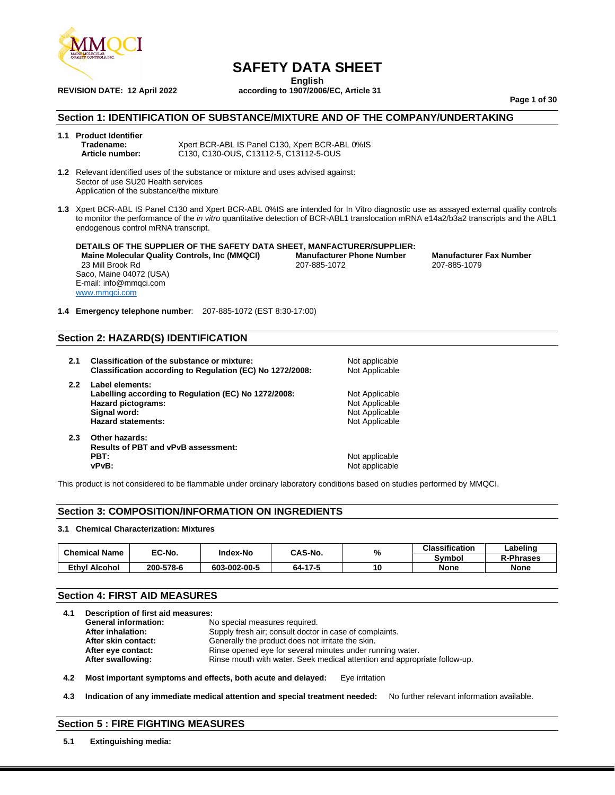

**English REVISION DATE: 12 April 2022 according to 1907/2006/EC, Article 31**

**Page 1 of 30**

#### **Section 1: IDENTIFICATION OF SUBSTANCE/MIXTURE AND OF THE COMPANY/UNDERTAKING**

- **1.1 Product Identifier Tradename:** Xpert BCR-ABL IS Panel C130, Xpert BCR-ABL 0%IS<br> **Article number:** C130. C130-OUS. C13112-5. C13112-5-OUS **Article number:** C130, C130-OUS, C13112-5, C13112-5-OUS
- **1.2** Relevant identified uses of the substance or mixture and uses advised against: Sector of use SU20 Health services Application of the substance/the mixture
- **1.3** Xpert BCR-ABL IS Panel C130 and Xpert BCR-ABL 0%IS are intended for In Vitro diagnostic use as assayed external quality controls to monitor the performance of the *in vitro* quantitative detection of BCR-ABL1 translocation mRNA e14a2/b3a2 transcripts and the ABL1 endogenous control mRNA transcript.

**DETAILS OF THE SUPPLIER OF THE SAFETY DATA SHEET, MANFACTURER/SUPPLIER: Maine Molecular Quality Controls, Inc (MMQCI) Manufacturer Phone Number Manufacturer Fax Number** 23 Mill Brook Rd Saco, Maine 04072 (USA) E-mail: info@mmqci.com [www.mmqci.com](http://www.mmqci.com/)

**1.4 Emergency telephone number**: 207-885-1072 (EST 8:30-17:00)

#### **Section 2: HAZARD(S) IDENTIFICATION**

- **2.1 Classification of the substance or mixture:** Not applicable **Classification according to Regulation (EC) No 1272/2008:** Not Applicable **2.2 Label elements:** Labelling according to Regulation (EC) No 1272/2008: Not Applicable **Hazard pictograms:** Not Applicable Not Applicable **Signal word:** Not Applicable Hazard statements: Not Applicable **2.3 Other hazards:**
- **Results of PBT and vPvB assessment: vPvB:**  $\blacksquare$

Not applicable

This product is not considered to be flammable under ordinary laboratory conditions based on studies performed by MMQCI.

#### **Section 3: COMPOSITION/INFORMATION ON INGREDIENTS**

#### **3.1 Chemical Characterization: Mixtures**

| <b>Chemical Name</b> | EC-No.    | Index-No     | CAS-No. | %  | <b>Classification</b> | ∟abelinơ         |
|----------------------|-----------|--------------|---------|----|-----------------------|------------------|
|                      |           |              |         |    | Symbol                | <b>R-Phrases</b> |
| <b>Ethyl Alcohol</b> | 200-578-6 | 603-002-00-5 | 64-17-5 | 10 | <b>None</b>           | <b>None</b>      |

#### **Section 4: FIRST AID MEASURES**

| <b>General information:</b> | No special measures required.                                             |
|-----------------------------|---------------------------------------------------------------------------|
| After inhalation:           | Supply fresh air; consult doctor in case of complaints.                   |
| After skin contact:         | Generally the product does not irritate the skin.                         |
| After eye contact:          | Rinse opened eye for several minutes under running water.                 |
| After swallowing:           | Rinse mouth with water. Seek medical attention and appropriate follow-up. |

**4.2 Most important symptoms and effects, both acute and delayed:** Eye irritation

**4.3 Indication of any immediate medical attention and special treatment needed:** No further relevant information available.

#### **Section 5 : FIRE FIGHTING MEASURES**

**5.1 Extinguishing media:**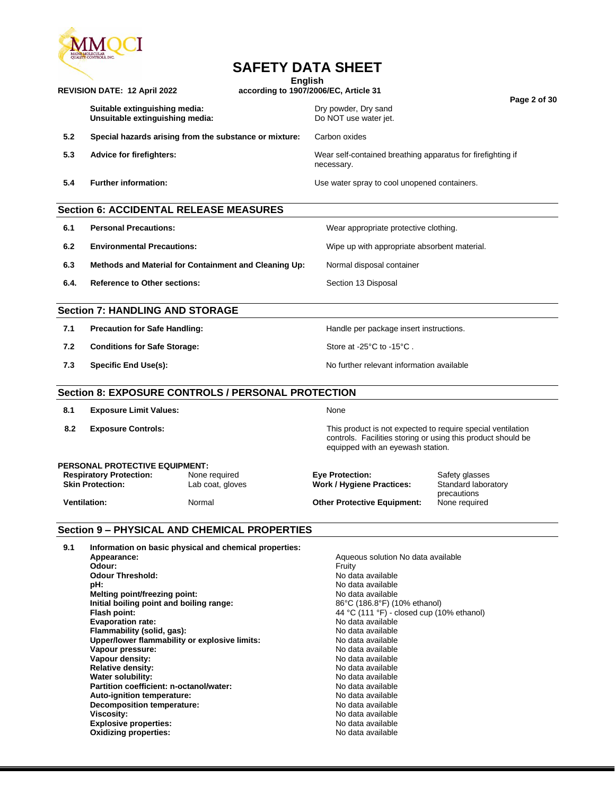

### **English**

|      | REVISION DATE: 12 April 2022                                                                                                                                                                                                                                                                                                                                                                                                                                          |                                                           | according to 1907/2006/EC, Article 31                                                                                                                                                                                                                                                                                                                                                                      |                                                                       |  |
|------|-----------------------------------------------------------------------------------------------------------------------------------------------------------------------------------------------------------------------------------------------------------------------------------------------------------------------------------------------------------------------------------------------------------------------------------------------------------------------|-----------------------------------------------------------|------------------------------------------------------------------------------------------------------------------------------------------------------------------------------------------------------------------------------------------------------------------------------------------------------------------------------------------------------------------------------------------------------------|-----------------------------------------------------------------------|--|
|      | Suitable extinguishing media:<br>Unsuitable extinguishing media:                                                                                                                                                                                                                                                                                                                                                                                                      |                                                           | Dry powder, Dry sand<br>Do NOT use water jet.                                                                                                                                                                                                                                                                                                                                                              | Page 2 of 30                                                          |  |
| 5.2  |                                                                                                                                                                                                                                                                                                                                                                                                                                                                       | Special hazards arising from the substance or mixture:    | Carbon oxides                                                                                                                                                                                                                                                                                                                                                                                              |                                                                       |  |
| 5.3  | <b>Advice for firefighters:</b>                                                                                                                                                                                                                                                                                                                                                                                                                                       |                                                           | Wear self-contained breathing apparatus for firefighting if<br>necessary.                                                                                                                                                                                                                                                                                                                                  |                                                                       |  |
| 5.4  | <b>Further information:</b>                                                                                                                                                                                                                                                                                                                                                                                                                                           |                                                           | Use water spray to cool unopened containers.                                                                                                                                                                                                                                                                                                                                                               |                                                                       |  |
|      |                                                                                                                                                                                                                                                                                                                                                                                                                                                                       | <b>Section 6: ACCIDENTAL RELEASE MEASURES</b>             |                                                                                                                                                                                                                                                                                                                                                                                                            |                                                                       |  |
| 6.1  | <b>Personal Precautions:</b>                                                                                                                                                                                                                                                                                                                                                                                                                                          |                                                           | Wear appropriate protective clothing.                                                                                                                                                                                                                                                                                                                                                                      |                                                                       |  |
| 6.2  | <b>Environmental Precautions:</b>                                                                                                                                                                                                                                                                                                                                                                                                                                     |                                                           | Wipe up with appropriate absorbent material.                                                                                                                                                                                                                                                                                                                                                               |                                                                       |  |
| 6.3  |                                                                                                                                                                                                                                                                                                                                                                                                                                                                       | Methods and Material for Containment and Cleaning Up:     | Normal disposal container                                                                                                                                                                                                                                                                                                                                                                                  |                                                                       |  |
| 6.4. | <b>Reference to Other sections:</b>                                                                                                                                                                                                                                                                                                                                                                                                                                   |                                                           | Section 13 Disposal                                                                                                                                                                                                                                                                                                                                                                                        |                                                                       |  |
|      | <b>Section 7: HANDLING AND STORAGE</b>                                                                                                                                                                                                                                                                                                                                                                                                                                |                                                           |                                                                                                                                                                                                                                                                                                                                                                                                            |                                                                       |  |
| 7.1  | <b>Precaution for Safe Handling:</b>                                                                                                                                                                                                                                                                                                                                                                                                                                  |                                                           | Handle per package insert instructions.                                                                                                                                                                                                                                                                                                                                                                    |                                                                       |  |
| 7.2  | <b>Conditions for Safe Storage:</b>                                                                                                                                                                                                                                                                                                                                                                                                                                   |                                                           | Store at -25°C to -15°C.                                                                                                                                                                                                                                                                                                                                                                                   |                                                                       |  |
| 7.3  | <b>Specific End Use(s):</b>                                                                                                                                                                                                                                                                                                                                                                                                                                           |                                                           | No further relevant information available                                                                                                                                                                                                                                                                                                                                                                  |                                                                       |  |
|      |                                                                                                                                                                                                                                                                                                                                                                                                                                                                       | <b>Section 8: EXPOSURE CONTROLS / PERSONAL PROTECTION</b> |                                                                                                                                                                                                                                                                                                                                                                                                            |                                                                       |  |
| 8.1  | <b>Exposure Limit Values:</b>                                                                                                                                                                                                                                                                                                                                                                                                                                         |                                                           | None                                                                                                                                                                                                                                                                                                                                                                                                       |                                                                       |  |
| 8.2  | <b>Exposure Controls:</b>                                                                                                                                                                                                                                                                                                                                                                                                                                             |                                                           | This product is not expected to require special ventilation<br>controls. Facilities storing or using this product should be<br>equipped with an eyewash station.                                                                                                                                                                                                                                           |                                                                       |  |
|      | <b>PERSONAL PROTECTIVE EQUIPMENT:</b><br><b>Respiratory Protection:</b><br><b>Skin Protection:</b><br><b>Ventilation:</b>                                                                                                                                                                                                                                                                                                                                             | None required<br>Lab coat, gloves<br>Normal               | <b>Eye Protection:</b><br>Work / Hygiene Practices:<br><b>Other Protective Equipment:</b>                                                                                                                                                                                                                                                                                                                  | Safety glasses<br>Standard laboratory<br>precautions<br>None required |  |
|      |                                                                                                                                                                                                                                                                                                                                                                                                                                                                       | <b>Section 9 - PHYSICAL AND CHEMICAL PROPERTIES</b>       |                                                                                                                                                                                                                                                                                                                                                                                                            |                                                                       |  |
| 9.1  | Appearance:<br>Odour:<br><b>Odour Threshold:</b><br>pH:<br>Melting point/freezing point:<br>Initial boiling point and boiling range:<br>Flash point:<br><b>Evaporation rate:</b><br>Flammability (solid, gas):<br>Upper/lower flammability or explosive limits:<br>Vapour pressure:<br>Vapour density:<br><b>Relative density:</b><br>Water solubility:<br>Partition coefficient: n-octanol/water:<br>Auto-ignition temperature:<br><b>Decomposition temperature:</b> | Information on basic physical and chemical properties:    | Aqueous solution No data available<br>Fruity<br>No data available<br>No data available<br>No data available<br>86°C (186.8°F) (10% ethanol)<br>44 °C (111 °F) - closed cup (10% ethanol)<br>No data available<br>No data available<br>No data available<br>No data available<br>No data available<br>No data available<br>No data available<br>No data available<br>No data available<br>No data available |                                                                       |  |

**Explosive properties:** No data available **Oxidizing properties:** No data available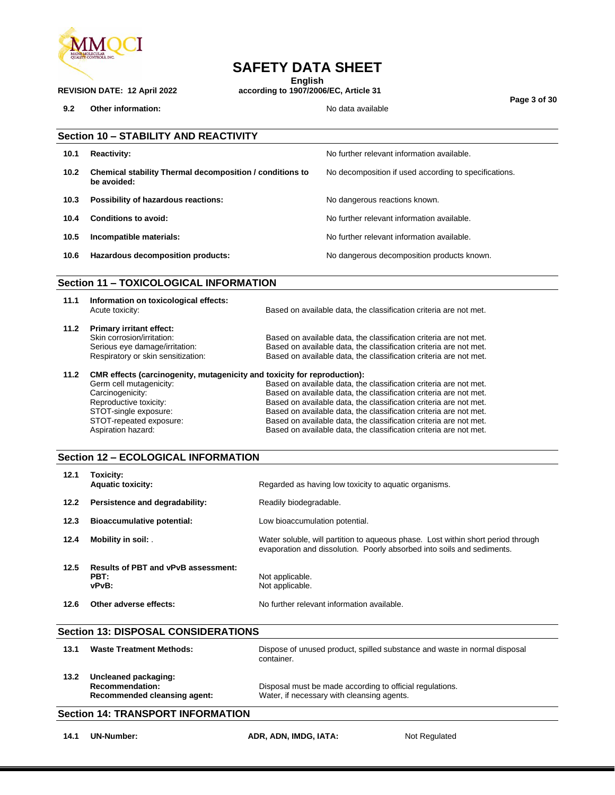

**English**

**REVISION DATE: 12 April 2022 according to 1907/2006/EC, Article 31**

**9.2 Other information:**  $\qquad \qquad \qquad$  No data available

Based on available data, the classification criteria are not met.

**Page 3 of 30**

|      | <b>Section 10 - STABILITY AND REACTIVITY</b>                            |                                                       |  |  |  |  |  |
|------|-------------------------------------------------------------------------|-------------------------------------------------------|--|--|--|--|--|
| 10.1 | <b>Reactivity:</b>                                                      | No further relevant information available.            |  |  |  |  |  |
| 10.2 | Chemical stability Thermal decomposition / conditions to<br>be avoided: | No decomposition if used according to specifications. |  |  |  |  |  |
| 10.3 | Possibility of hazardous reactions:                                     | No dangerous reactions known.                         |  |  |  |  |  |
| 10.4 | Conditions to avoid:                                                    | No further relevant information available.            |  |  |  |  |  |
| 10.5 | Incompatible materials:                                                 | No further relevant information available.            |  |  |  |  |  |
| 10.6 | Hazardous decomposition products:                                       | No dangerous decomposition products known.            |  |  |  |  |  |
|      |                                                                         |                                                       |  |  |  |  |  |

#### **Section 11 – TOXICOLOGICAL INFORMATION**

| 11.1 | Information on toxicological effects:<br>Acute toxicity:                                                                              | Based on available data, the classification criteria are not met.                                                                                                                                           |
|------|---------------------------------------------------------------------------------------------------------------------------------------|-------------------------------------------------------------------------------------------------------------------------------------------------------------------------------------------------------------|
| 11.2 | <b>Primary irritant effect:</b><br>Skin corrosion/irritation:<br>Serious eye damage/irritation:<br>Respiratory or skin sensitization: | Based on available data, the classification criteria are not met.<br>Based on available data, the classification criteria are not met.<br>Based on available data, the classification criteria are not met. |
| 11.2 | CMR effects (carcinogenity, mutagenicity and toxicity for reproduction):                                                              |                                                                                                                                                                                                             |
|      | Germ cell mutagenicity:                                                                                                               | Based on available data, the classification criteria are not met.                                                                                                                                           |
|      | Carcinogenicity:                                                                                                                      | Based on available data, the classification criteria are not met.                                                                                                                                           |
|      | Reproductive toxicity:                                                                                                                | Based on available data, the classification criteria are not met.                                                                                                                                           |
|      | STOT-single exposure:                                                                                                                 | Based on available data, the classification criteria are not met.                                                                                                                                           |

STOT-repeated exposure: Based on available data, the classification criteria are not met.<br>Aspiration hazard: Based on available data, the classification criteria are not met.

#### **Section 12 – ECOLOGICAL INFORMATION**

| 12.1 | Toxicity:<br><b>Aquatic toxicity:</b>                       | Regarded as having low toxicity to aquatic organisms.                                                                                                      |
|------|-------------------------------------------------------------|------------------------------------------------------------------------------------------------------------------------------------------------------------|
| 12.2 | Persistence and degradability:                              | Readily biodegradable.                                                                                                                                     |
| 12.3 | <b>Bioaccumulative potential:</b>                           | Low bioaccumulation potential.                                                                                                                             |
| 12.4 | Mobility in soil:                                           | Water soluble, will partition to agueous phase. Lost within short period through<br>evaporation and dissolution. Poorly absorbed into soils and sediments. |
| 12.5 | <b>Results of PBT and vPvB assessment:</b><br>PBT:<br>vPvB: | Not applicable.<br>Not applicable.                                                                                                                         |
| 12.6 | Other adverse effects:                                      | No further relevant information available.                                                                                                                 |

#### **Section 13: DISPOSAL CONSIDERATIONS**

| 13.1 | <b>Waste Treatment Methods:</b>                                                | Dispose of unused product, spilled substance and waste in normal disposal<br>container.                |
|------|--------------------------------------------------------------------------------|--------------------------------------------------------------------------------------------------------|
| 13.2 | Uncleaned packaging:<br><b>Recommendation:</b><br>Recommended cleansing agent: | Disposal must be made according to official regulations.<br>Water, if necessary with cleansing agents. |

#### **Section 14: TRANSPORT INFORMATION**

**14.1 UN-Number: ADR, ADN, IMDG, IATA:** Not Regulated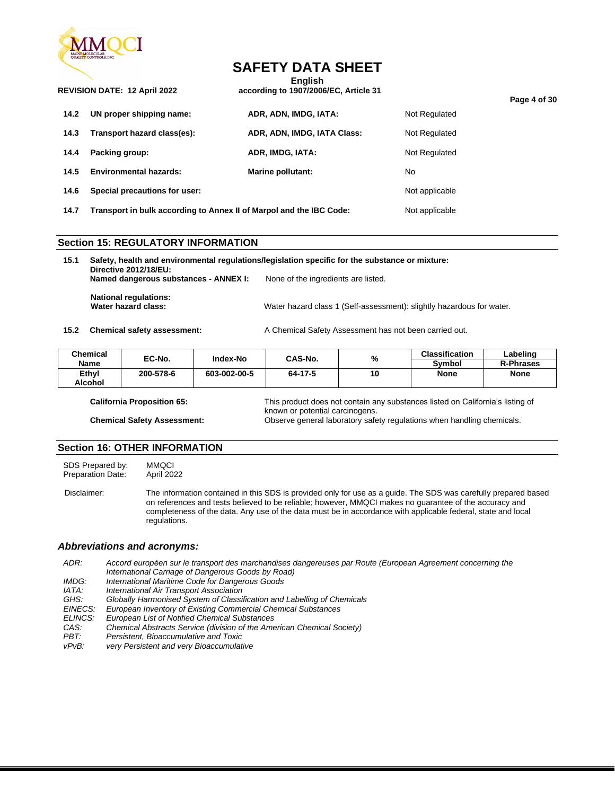

**English REVISION DATE: 12 April 2022 according to 1907/2006/EC, Article 31**

|      |                                                                     |                             |                | Page 4 of 30 |
|------|---------------------------------------------------------------------|-----------------------------|----------------|--------------|
| 14.2 | UN proper shipping name:                                            | ADR, ADN, IMDG, IATA:       | Not Regulated  |              |
| 14.3 | Transport hazard class(es):                                         | ADR, ADN, IMDG, IATA Class: | Not Regulated  |              |
| 14.4 | Packing group:                                                      | ADR, IMDG, IATA:            | Not Regulated  |              |
| 14.5 | <b>Environmental hazards:</b>                                       | Marine pollutant:           | No.            |              |
| 14.6 | Special precautions for user:                                       |                             | Not applicable |              |
| 14.7 | Transport in bulk according to Annex II of Marpol and the IBC Code: |                             | Not applicable |              |

#### **Section 15: REGULATORY INFORMATION**

**15.1 Safety, health and environmental regulations/legislation specific for the substance or mixture: Directive 2012/18/EU: Named dangerous substances - ANNEX I:** None of the ingredients are listed. **National regulations:** Water hazard class: **Water hazard class 1** (Self-assessment): slightly hazardous for water.

**15.2 Chemical safety assessment:** A Chemical Safety Assessment has not been carried out.

| <b>Chemical</b> | EC-No.    | Index-No     | CAS-No. |    | %           | <b>Classification</b> | Labelinɑ |
|-----------------|-----------|--------------|---------|----|-------------|-----------------------|----------|
| <b>Name</b>     |           |              |         |    | Symbol      | <b>R-Phrases</b>      |          |
| Ethyl           | 200-578-6 | 603-002-00-5 | 64-17-5 | 10 | <b>None</b> | <b>None</b>           |          |
| Alcohol         |           |              |         |    |             |                       |          |

**California Proposition 65:** This product does not contain any substances listed on California's listing of known or potential carcinogens. **Chemical Safety Assessment:** Observe general laboratory safety regulations when handling chemicals.

#### **Section 16: OTHER INFORMATION**

SDS Prepared by: MMQCI<br>Preparation Date: April 2022 Preparation Date:

Disclaimer: The information contained in this SDS is provided only for use as a guide. The SDS was carefully prepared based on references and tests believed to be reliable; however, MMQCI makes no guarantee of the accuracy and completeness of the data. Any use of the data must be in accordance with applicable federal, state and local regulations.

#### *Abbreviations and acronyms:*

*ADR: Accord européen sur le transport des marchandises dangereuses par Route (European Agreement concerning the International Carriage of Dangerous Goods by Road)*

- *IMDG: International Maritime Code for Dangerous Goods*
- 
- *IATA: International Air Transport Association* Globally Harmonised System of Classification and Labelling of Chemicals
- *EINECS: European Inventory of Existing Commercial Chemical Substances*
- *ELINCS: European List of Notified Chemical Substances*
- *CAS: Chemical Abstracts Service (division of the American Chemical Society)*
- *PBT: Persistent, Bioaccumulative and Toxic*
- *vPvB: very Persistent and very Bioaccumulative*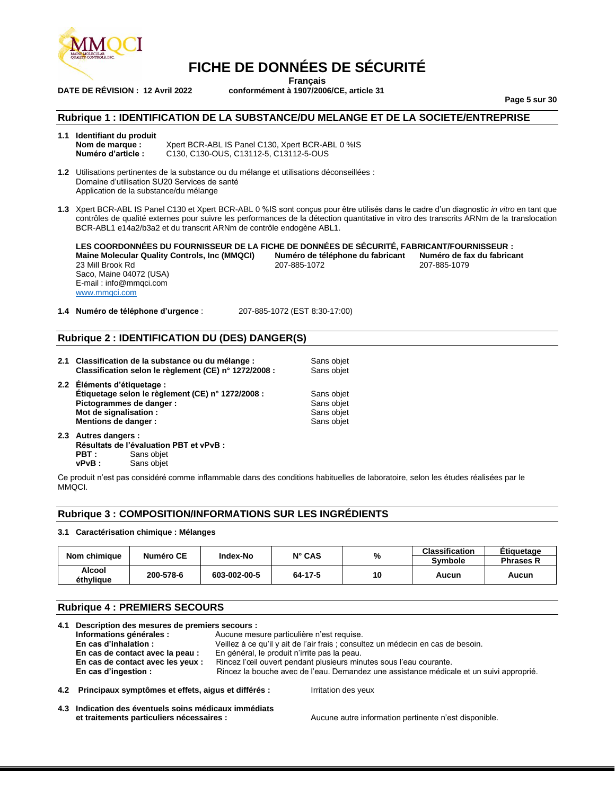

**Français DATE DE RÉVISION : 12 Avril 2022 conformément à 1907/2006/CE, article 31**

**Page 5 sur 30**

#### **Rubrique 1 : IDENTIFICATION DE LA SUBSTANCE/DU MELANGE ET DE LA SOCIETE/ENTREPRISE**

**1.1 Identifiant du produit Nom de marque :** Xpert BCR-ABL IS Panel C130, Xpert BCR-ABL 0 %IS<br>**Numéro d'article :** C130, C130-OUS, C13112-5, C13112-5-OUS **Numéro d'article :** C130, C130-OUS, C13112-5, C13112-5-OUS

**1.2** Utilisations pertinentes de la substance ou du mélange et utilisations déconseillées : Domaine d'utilisation SU20 Services de santé Application de la substance/du mélange

**1.3** Xpert BCR-ABL IS Panel C130 et Xpert BCR-ABL 0 %IS sont conçus pour être utilisés dans le cadre d'un diagnostic *in vitro* en tant que contrôles de qualité externes pour suivre les performances de la détection quantitative in vitro des transcrits ARNm de la translocation BCR-ABL1 e14a2/b3a2 et du transcrit ARNm de contrôle endogène ABL1.

**LES COORDONNÉES DU FOURNISSEUR DE LA FICHE DE DONNÉES DE SÉCURITÉ, FABRICANT/FOURNISSEUR : Maine Molecular Quality Controls, Inc (MMQCI) Numéro de téléphone du fabricant Numéro de fa**<br>207-885-1072 207-885-1079 23 Mill Brook Rd Saco, Maine 04072 (USA) E-mail : info@mmqci.com [www.mmqci.com](http://www.mmqci.com/)

**1.4 Numéro de téléphone d'urgence** : 207-885-1072 (EST 8:30-17:00)

#### **Rubrique 2 : IDENTIFICATION DU (DES) DANGER(S)**

| 2.1 Classification de la substance ou du mélange :<br>Classification selon le règlement (CE) n° 1272/2008 :                                                    | Sans objet<br>Sans objet                             |
|----------------------------------------------------------------------------------------------------------------------------------------------------------------|------------------------------------------------------|
| 2.2 Éléments d'étiquetage :<br>Étiquetage selon le règlement (CE) n° 1272/2008 :<br>Pictogrammes de danger :<br>Mot de signalisation :<br>Mentions de danger : | Sans objet<br>Sans objet<br>Sans objet<br>Sans objet |

**2.3 Autres dangers : Résultats de l'évaluation PBT et vPvB : PBT** : Sans objet<br>**vPvB** : Sans objet **Sans objet** 

Ce produit n'est pas considéré comme inflammable dans des conditions habituelles de laboratoire, selon les études réalisées par le MMQCI.

#### **Rubrique 3 : COMPOSITION/INFORMATIONS SUR LES INGRÉDIENTS**

#### **3.1 Caractérisation chimique : Mélanges**

| Nom chimique               | Numéro CE | Index-No     | $N^{\circ}$ CAS | %  | <b>Classification</b><br><b>Symbole</b> | <b>Etiquetage</b><br><b>Phrases R</b> |
|----------------------------|-----------|--------------|-----------------|----|-----------------------------------------|---------------------------------------|
| <b>Alcool</b><br>éthvliaue | 200-578-6 | 603-002-00-5 | 64-17-5         | 10 | Aucun                                   | Aucun                                 |

#### **Rubrique 4 : PREMIERS SECOURS**

| 4.1 Description des mesures de premiers secours :       |                                                                                         |  |  |  |
|---------------------------------------------------------|-----------------------------------------------------------------------------------------|--|--|--|
| Informations générales :                                | Aucune mesure particulière n'est requise.                                               |  |  |  |
| En cas d'inhalation :                                   | Veillez à ce qu'il y ait de l'air frais ; consultez un médecin en cas de besoin.        |  |  |  |
| En cas de contact avec la peau :                        | En général, le produit n'irrite pas la peau.                                            |  |  |  |
| En cas de contact avec les yeux :                       | Rincez l'œil ouvert pendant plusieurs minutes sous l'eau courante.                      |  |  |  |
| En cas d'ingestion :                                    | Rincez la bouche avec de l'eau. Demandez une assistance médicale et un suivi approprié. |  |  |  |
| 4.2 Principaux symptômes et effets, aigus et différés : | Irritation des yeux                                                                     |  |  |  |

**4.3 Indication des éventuels soins médicaux immédiats et traitements particuliers nécessaires :** Aucune autre information pertinente n'est disponible.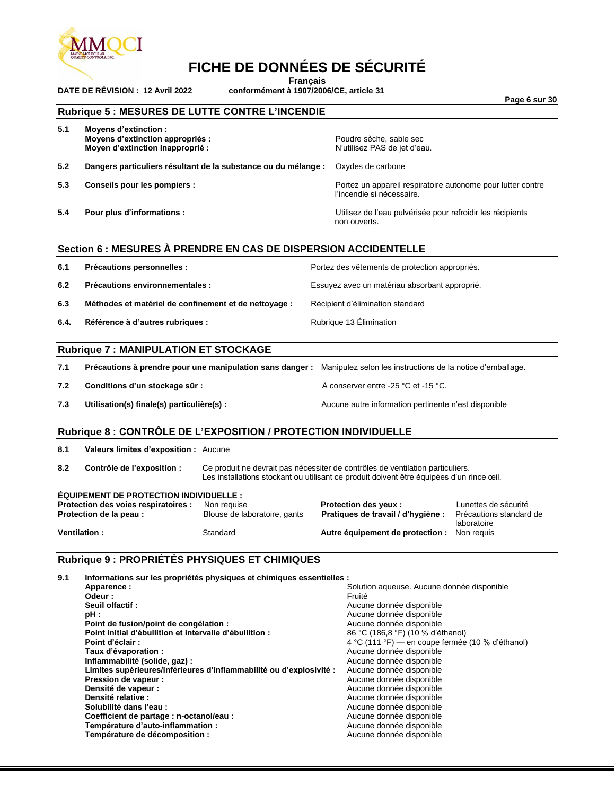

**Français**

**DATE DE RÉVISION : 12 Avril 2022 conformément à 1907/2006/CE, article 31**

**Page 6 sur 30**

#### **Rubrique 5 : MESURES DE LUTTE CONTRE L'INCENDIE**

| 5.1 | Moyens d'extinction :<br>Moyens d'extinction appropriés :<br>Moyen d'extinction inapproprié : | Poudre sèche, sable sec<br>N'utilisez PAS de jet d'eau.                                  |
|-----|-----------------------------------------------------------------------------------------------|------------------------------------------------------------------------------------------|
| 5.2 | Dangers particuliers résultant de la substance ou du mélange :                                | Oxydes de carbone                                                                        |
| 5.3 | Conseils pour les pompiers :                                                                  | Portez un appareil respiratoire autonome pour lutter contre<br>l'incendie si nécessaire. |
| 5.4 | Pour plus d'informations :                                                                    | Utilisez de l'eau pulvérisée pour refroidir les récipients<br>non ouverts.               |
|     | Section 6 : MESURES A PRENDRE EN CAS DE DISPERSION ACCIDENTELLE                               |                                                                                          |

#### **SECTIONAL EN CAS DE DISPERSION ACCIDENT EN CAS DE DISPERSION ACCIDENT**

| 6.1  | Précautions personnelles :                            | Portez des vêtements de protection appropriés. |
|------|-------------------------------------------------------|------------------------------------------------|
| 6.2  | Précautions environnementales :                       | Essuyez avec un matériau absorbant approprié.  |
| 6.3  | Méthodes et matériel de confinement et de nettoyage : | Récipient d'élimination standard               |
| 6.4. | Référence à d'autres rubriques :                      | Rubrique 13 Elimination                        |

#### **Rubrique 7 : MANIPULATION ET STOCKAGE**

| 7.1 | Précautions à prendre pour une manipulation sans danger : | Manipulez selon les instructions de la notice d'emballage. |
|-----|-----------------------------------------------------------|------------------------------------------------------------|
| 7.2 | Conditions d'un stockage sûr :                            | A conserver entre -25 °C et -15 °C.                        |
| 7.3 | Utilisation(s) finale(s) particulière(s) :                | Aucune autre information pertinente n'est disponible       |

#### **Rubrique 8 : CONTRÔLE DE L'EXPOSITION / PROTECTION INDIVIDUELLE**

**8.1 Valeurs limites d'exposition :** Aucune

**8.2 Contrôle de l'exposition :** Ce produit ne devrait pas nécessiter de contrôles de ventilation particuliers. Les installations stockant ou utilisant ce produit doivent être équipées d'un rince œil.

#### **ÉQUIPEMENT DE PROTECTION INDIVIDUELLE :**

| atoires : | Non requise                  |
|-----------|------------------------------|
|           | Blouse de laboratoire, gants |
|           |                              |

**Protection des voies respiratoires :** Non requise **interprotection des yeux** : **Lunettes de sécurité**<br>**Protection de la peau :** Blouse de laboratoire, gants **Pratiques de travail / d'hygiène :** Précautions standard de Pratiques de travail / d'hygiène : **Ventilation :** Standard **Autre équipement de protection :** Non requis

laboratoire

#### **Rubrique 9 : PROPRIÉTÉS PHYSIQUES ET CHIMIQUES**

| Informations sur les propriétés physiques et chimiques essentielles : |                                                  |
|-----------------------------------------------------------------------|--------------------------------------------------|
| Apparence:                                                            | Solution aqueuse. Aucune donnée disponible       |
| Odeur :                                                               | Fruité                                           |
| Seuil olfactif:                                                       | Aucune donnée disponible                         |
|                                                                       | Aucune donnée disponible                         |
| Point de fusion/point de congélation :                                | Aucune donnée disponible                         |
| Point initial d'ébullition et intervalle d'ébullition :               | 86 °C (186,8 °F) (10 % d'éthanol)                |
| Point d'éclair :                                                      | 4 °C (111 °F) — en coupe fermée (10 % d'éthanol) |
| Taux d'évaporation :                                                  | Aucune donnée disponible                         |
| Inflammabilité (solide, gaz) :                                        | Aucune donnée disponible                         |
| Limites supérieures/inférieures d'inflammabilité ou d'explosivité :   | Aucune donnée disponible                         |
| Pression de vapeur :                                                  | Aucune donnée disponible                         |
| Densité de vapeur :                                                   | Aucune donnée disponible                         |
|                                                                       | Aucune donnée disponible                         |
| Solubilité dans l'eau :                                               | Aucune donnée disponible                         |
| Coefficient de partage : n-octanol/eau :                              | Aucune donnée disponible                         |
| Température d'auto-inflammation :                                     | Aucune donnée disponible                         |
| Température de décomposition :                                        | Aucune donnée disponible                         |
|                                                                       | Densité relative :                               |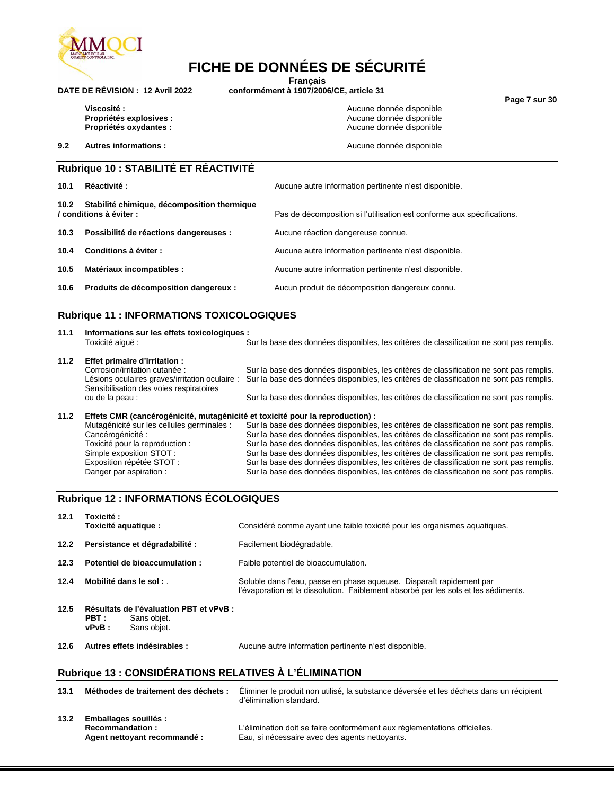

**Français**

**DATE DE RÉVISION : 12 Avril 2022 conformément à 1907/2006/CE, article 31**

**Page 7 sur 30**

**Viscosité :**<br> **Propriétés explosives :**<br> **Propriétés explosives :**<br> **Aucune donnée disponible Propriétés oxydantes :** 

**9.2 Autres informations : Aucune donnée disponible Aucune donnée disponible** 

**Propriétés explosives :**<br> **Propriétés oxydantes :**<br> **Propriétés oxydantes :**<br> **Aucune donnée disponible** 

#### **Rubrique 10 : STABILITÉ ET RÉACTIVITÉ**

| 10.1 | <b>Réactivité :</b>                                                         | Aucune autre information pertinente n'est disponible.                  |
|------|-----------------------------------------------------------------------------|------------------------------------------------------------------------|
|      | 10.2 Stabilité chimique, décomposition thermique<br>/ conditions à éviter : | Pas de décomposition si l'utilisation est conforme aux spécifications. |
| 10.3 | Possibilité de réactions dangereuses :                                      | Aucune réaction dangereuse connue.                                     |
| 10.4 | Conditions à éviter :                                                       | Aucune autre information pertinente n'est disponible.                  |
| 10.5 | Matériaux incompatibles :                                                   | Aucune autre information pertinente n'est disponible.                  |
| 10.6 | Produits de décomposition dangereux :                                       | Aucun produit de décomposition dangereux connu.                        |

#### **Rubrique 11 : INFORMATIONS TOXICOLOGIQUES**

| 11.1 | Informations sur les effets toxicologiques :<br>Toxicité aiquë:                                                             | Sur la base des données disponibles, les critères de classification ne sont pas remplis.                                                                                             |
|------|-----------------------------------------------------------------------------------------------------------------------------|--------------------------------------------------------------------------------------------------------------------------------------------------------------------------------------|
| 11.2 | Effet primaire d'irritation :                                                                                               |                                                                                                                                                                                      |
|      | Corrosion/irritation cutanée :<br>Lésions oculaires graves/irritation oculaire :<br>Sensibilisation des voies respiratoires | Sur la base des données disponibles, les critères de classification ne sont pas remplis.<br>Sur la base des données disponibles, les critères de classification ne sont pas remplis. |
|      | ou de la peau :                                                                                                             | Sur la base des données disponibles, les critères de classification ne sont pas remplis.                                                                                             |

Sur la base des données disponibles, les critères de classification ne sont pas remplis.

### **11.2 Effets CMR (cancérogénicité, mutagénicité et toxicité pour la reproduction) :**

Mutagénicité sur les cellules germinales : Sur la base des données disponibles, les critères de classification ne sont pas remplis.<br>Cancérogénicité : Sur la base des données disponibles, les critères de classification ne s Cancérogénicité : Sur la base des données disponibles, les critères de classification ne sont pas remplis.<br>Toxicité pour la reproduction : Sur la base des données disponibles, les critères de classification ne sont pas rem Toxicité pour la reproduction : Sur la base des données disponibles, les critères de classification ne sont pas remplis.<br>Simple exposition STOT : Sur la base des données disponibles, les critères de classification ne sont Simple exposition STOT : Sur la base des données disponibles, les critères de classification ne sont pas remplis.<br>Exposition répétée STOT : Sur la base des données disponibles, les critères de classification ne sont pas re Sur la base des données disponibles, les critères de classification ne sont pas remplis. Danger par aspiration : Sur la base des données disponibles, les critères de classification ne sont pas remplis.

#### **Rubrique 12 : INFORMATIONS ÉCOLOGIQUES**

| 12.1 | Toxicité:<br>Toxicité aquatique :                                                          | Considéré comme ayant une faible toxicité pour les organismes aquatiques.                                                                                  |
|------|--------------------------------------------------------------------------------------------|------------------------------------------------------------------------------------------------------------------------------------------------------------|
| 12.2 | Persistance et dégradabilité :                                                             | Facilement biodégradable.                                                                                                                                  |
| 12.3 | Potentiel de bioaccumulation :                                                             | Faible potentiel de bioaccumulation.                                                                                                                       |
| 12.4 | Mobilité dans le sol :                                                                     | Soluble dans l'eau, passe en phase aqueuse. Disparaît rapidement par<br>l'évaporation et la dissolution. Faiblement absorbé par les sols et les sédiments. |
| 12.5 | Résultats de l'évaluation PBT et vPvB :<br>PBT :<br>Sans objet.<br>Sans obiet.<br>$vPvB$ : |                                                                                                                                                            |
| 12.6 | Autres effets indésirables :                                                               | Aucune autre information pertinente n'est disponible.                                                                                                      |

#### **Rubrique 13 : CONSIDÉRATIONS RELATIVES À L'ÉLIMINATION**

| 13.1 | Méthodes de traitement des déchets :                                           | Eliminer le produit non utilisé, la substance déversée et les déchets dans un récipient<br>d'élimination standard.          |
|------|--------------------------------------------------------------------------------|-----------------------------------------------------------------------------------------------------------------------------|
| 13.2 | <b>Emballages souillés:</b><br>Recommandation:<br>Agent nettoyant recommandé : | L'élimination doit se faire conformément aux réglementations officielles.<br>Eau, si nécessaire avec des agents nettoyants. |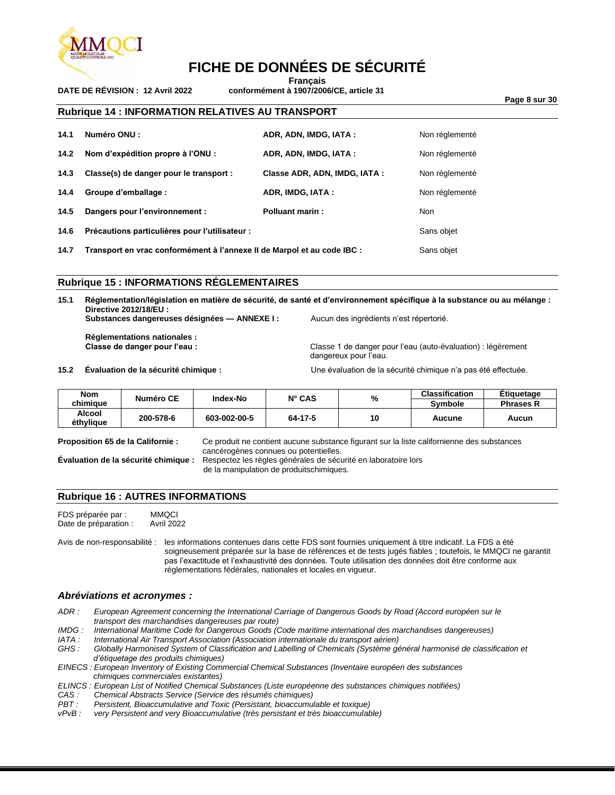

**Français**

**DATE DE RÉVISION : 12 Avril 2022 conformément à 1907/2006/CE, article 31**

**Page 8 sur 30**

#### **Rubrique 14 : INFORMATION RELATIVES AU TRANSPORT**

| 14.1 | Numéro ONU :                                   | ADR, ADN, IMDG, IATA:        | Non réglementé |
|------|------------------------------------------------|------------------------------|----------------|
| 14.2 | Nom d'expédition propre à l'ONU :              | ADR, ADN, IMDG, IATA:        | Non réglementé |
| 14.3 | Classe(s) de danger pour le transport :        | Classe ADR, ADN, IMDG, IATA: | Non réglementé |
| 14.4 | Groupe d'emballage :                           | ADR, IMDG, IATA:             | Non réglementé |
| 14.5 | Dangers pour l'environnement :                 | <b>Polluant marin:</b>       | <b>Non</b>     |
| 14.6 | Précautions particulières pour l'utilisateur : |                              | Sans objet     |

**14.7 Transport en vrac conformément à l'annexe II de Marpol et au code IBC :** Sans objet

#### **Rubrique 15 : INFORMATIONS RÉGLEMENTAIRES**

**15.1 Réglementation/législation en matière de sécurité, de santé et d'environnement spécifique à la substance ou au mélange : Directive 2012/18/EU : Substances dangereuses désignées — ANNEXE I :** Aucun des ingrédients n'est répertorié.

**Réglementations nationales :**

**Classe de danger pour l'eau :** Classe 1 de danger pour l'eau (auto-évaluation) : légèrement dangereux pour l'eau.

**15.2 Évaluation de la sécurité chimique :** Une évaluation de la sécurité chimique n'a pas été effectuée.

| <b>Nom</b>          | Numéro CE | Index-No     | $N^{\circ}$ CAS | %  | <b>Classification</b> | Etiquetage       |
|---------------------|-----------|--------------|-----------------|----|-----------------------|------------------|
| chimiaue            |           |              |                 |    | <b>Symbole</b>        | <b>Phrases R</b> |
| Alcool<br>éthylique | 200-578-6 | 603-002-00-5 | 64-17-5         | 10 | Aucune                | Aucun            |

**Proposition 65 de la Californie :** Ce produit ne contient aucune substance figurant sur la liste californienne des substances cancérogènes connues ou potentielles. **Évaluation de la sécurité chimique :** Respectez les règles générales de sécurité en laboratoire lors

de la manipulation de produitschimiques.

#### **Rubrique 16 : AUTRES INFORMATIONS**

FDS préparée par : MMQCI<br>Date de préparation : Avril 2022 Date de préparation :

Avis de non-responsabilité : les informations contenues dans cette FDS sont fournies uniquement à titre indicatif. La FDS a été soigneusement préparée sur la base de références et de tests jugés fiables ; toutefois, le MMQCI ne garantit pas l'exactitude et l'exhaustivité des données. Toute utilisation des données doit être conforme aux réglementations fédérales, nationales et locales en vigueur.

#### *Abréviations et acronymes :*

- *ADR : European Agreement concerning the International Carriage of Dangerous Goods by Road (Accord européen sur le transport des marchandises dangereuses par route)*
- *IMDG : International Maritime Code for Dangerous Goods (Code maritime international des marchandises dangereuses)*
- *IATA : International Air Transport Association (Association internationale du transport aérien)*

*GHS : Globally Harmonised System of Classification and Labelling of Chemicals (Système général harmonisé de classification et d'étiquetage des produits chimiques)*

*EINECS : European Inventory of Existing Commercial Chemical Substances (Inventaire européen des substances chimiques commerciales existantes)*

*ELINCS : European List of Notified Chemical Substances (Liste européenne des substances chimiques notifiées)*

- *CAS : Chemical Abstracts Service (Service des résumés chimiques)*
- *PBT : Persistent, Bioaccumulative and Toxic (Persistant, bioaccumulable et toxique)*

*very Persistent and very Bioaccumulative (très persistant et très bioaccumulable)*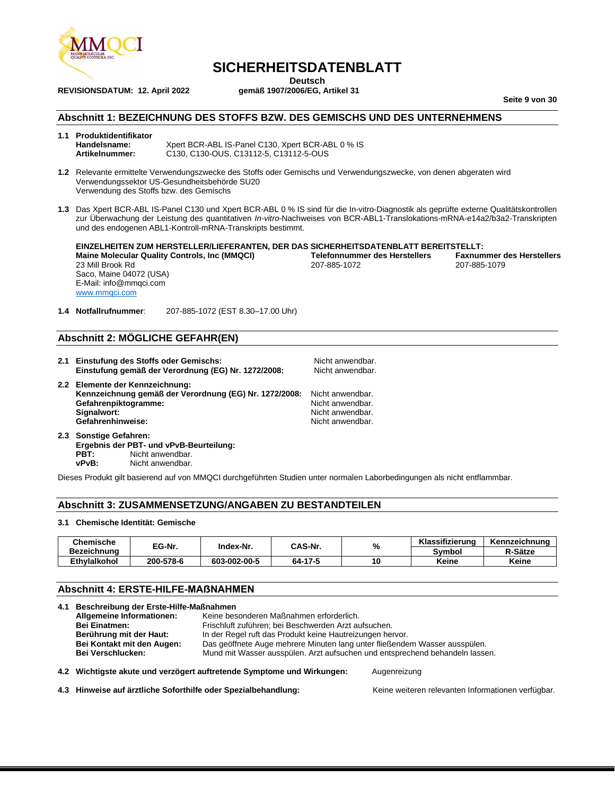

**REVISIONSDATUM: 12. April 2022** 

### **SICHERHEITSDATENBLATT**

**Deutsch**<br>131 aemäß 1907/2006/EG. Artikel

**Seite 9 von 30**

#### **Abschnitt 1: BEZEICHNUNG DES STOFFS BZW. DES GEMISCHS UND DES UNTERNEHMENS**

#### **1.1 Produktidentifikator Handelsname:**  $X$ pert BCR-ABL IS-Panel C130, Xpert BCR-ABL 0 % IS<br> **Artikelnummer:** C130, C130-OUS, C13112-5, C13112-5-OUS **Artikelnummer:** C130, C130-OUS, C13112-5, C13112-5-OUS

- **1.2** Relevante ermittelte Verwendungszwecke des Stoffs oder Gemischs und Verwendungszwecke, von denen abgeraten wird Verwendungssektor US-Gesundheitsbehörde SU20 Verwendung des Stoffs bzw. des Gemischs
- **1.3** Das Xpert BCR-ABL IS-Panel C130 und Xpert BCR-ABL 0 % IS sind für die In-vitro-Diagnostik als geprüfte externe Qualitätskontrollen zur Überwachung der Leistung des quantitativen *In-vitro*-Nachweises von BCR-ABL1-Translokations-mRNA-e14a2/b3a2-Transkripten und des endogenen ABL1-Kontroll-mRNA-Transkripts bestimmt.

**EINZELHEITEN ZUM HERSTELLER/LIEFERANTEN, DER DAS SICHERHEITSDATENBLATT BEREITSTELLT: Maine Molecular Quality Controls, Inc (MMQCI) Telefonnummer des Herstellers Faxnummer des Herstellers** 23 Mill Brook Rd Saco, Maine 04072 (USA) E-Mail: info@mmqci.com [www.mmqci.com](http://www.mmqci.com/)

**1.4 Notfallrufnummer**: 207-885-1072 (EST 8.30–17.00 Uhr)

#### **Abschnitt 2: MÖGLICHE GEFAHR(EN)**

- **2.1 Einstufung des Stoffs oder Gemischs: Nicht anwendbar. Nicht anwendbar. Einstufung gemäß der Verordnung (EG) Nr. 1272/2008:** Nicht anwendbar. **2.2 Elemente der Kennzeichnung: Kennzeichnung gemäß der Verordnung (EG) Nr. 1272/2008:** Nicht anwendbar.
- Gefahrenpiktogramme:<br>Signalwort: Nicht anwendbar.<br>Nicht anwendbar. Gefahrenhinweise: **2.3 Sonstige Gefahren:**
- **Ergebnis der PBT- und vPvB-Beurteilung: PBT:** Nicht anwendbar.<br> **vPvB:** Nicht anwendbar. Nicht anwendbar.

Dieses Produkt gilt basierend auf von MMQCI durchgeführten Studien unter normalen Laborbedingungen als nicht entflammbar.

#### **Abschnitt 3: ZUSAMMENSETZUNG/ANGABEN ZU BESTANDTEILEN**

#### **3.1 Chemische Identität: Gemische**

| <b>Chemische</b>    | EG-Nr.    | Index-Nr.    | CAS-Nr. |    | Klassifizierung | Kennzeichnung |
|---------------------|-----------|--------------|---------|----|-----------------|---------------|
| Bezeichnung         |           |              |         | %  | Svmbol          | R-Sätze       |
| <b>Ethvlalkohol</b> | 200-578-6 | 603-002-00-5 | 64-17-5 | 10 | Keine           | Keine         |

#### **Abschnitt 4: ERSTE-HILFE-MAẞNAHMEN**

| 4.1 Beschreibung der Erste-Hilfe-Maßnahmen                                                               |                                                                                        |  |  |
|----------------------------------------------------------------------------------------------------------|----------------------------------------------------------------------------------------|--|--|
| Allgemeine Informationen:                                                                                | Keine besonderen Maßnahmen erforderlich.                                               |  |  |
| <b>Bei Einatmen:</b><br>Frischluft zuführen; bei Beschwerden Arzt aufsuchen.                             |                                                                                        |  |  |
| Berührung mit der Haut:                                                                                  | In der Regel ruft das Produkt keine Hautreizungen hervor.                              |  |  |
| Bei Kontakt mit den Augen:<br>Das geöffnete Auge mehrere Minuten lang unter fließendem Wasser ausspülen. |                                                                                        |  |  |
| <b>Bei Verschlucken:</b>                                                                                 | Mund mit Wasser ausspülen. Arzt aufsuchen und entsprechend behandeln lassen.           |  |  |
|                                                                                                          | 4.2 Wichtigste akute und verzögert auftretende Symptome und Wirkungen:<br>Augenreizung |  |  |

**4.3 Hinweise auf ärztliche Soforthilfe oder Spezialbehandlung:** Keine weiteren relevanten Informationen verfügbar.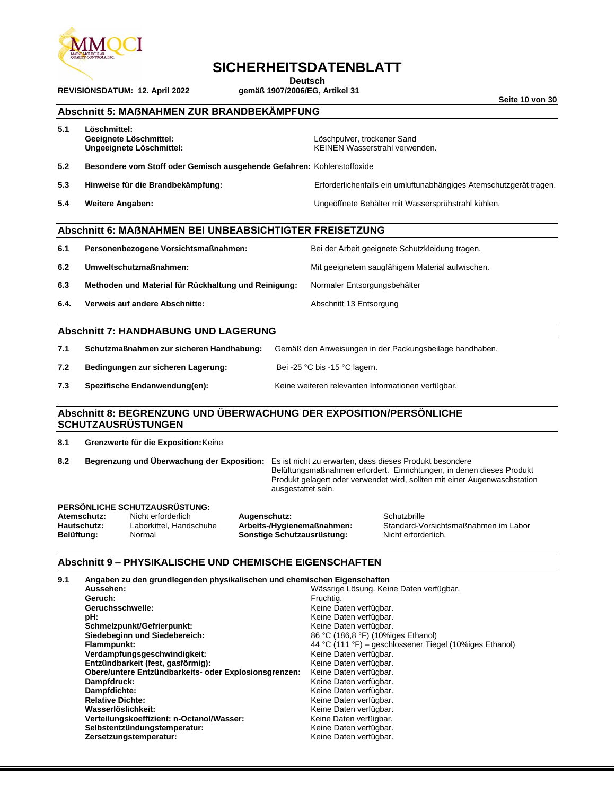

**REVISIONSDATUM: 12. April 2022** 

### **SICHERHEITSDATENBLATT**

Deutsch<br>gemäß 1907/2006/EG, Artikel 31

**Seite 10 von 30**

#### **Abschnitt 5: MAẞNAHMEN ZUR BRANDBEKÄMPFUNG**

| 5.1 | Löschmittel:<br>Geeignete Löschmittel:<br>Ungeeignete Löschmittel:     | Löschpulver, trockener Sand<br>KEINEN Wasserstrahl verwenden.      |
|-----|------------------------------------------------------------------------|--------------------------------------------------------------------|
| 5.2 | Besondere vom Stoff oder Gemisch ausgehende Gefahren: Kohlenstoffoxide |                                                                    |
| 5.3 | Hinweise für die Brandbekämpfung:                                      | Erforderlichenfalls ein umluftunabhängiges Atemschutzgerät tragen. |
| 5.4 | <b>Weitere Angaben:</b>                                                | Ungeöffnete Behälter mit Wassersprühstrahl kühlen.                 |
|     |                                                                        |                                                                    |
|     | <b>Abschnitt 6: MAßNAHMEN BEI UNBEABSICHTIGTER FREISETZUNG</b>         |                                                                    |
| 6.1 | Personenbezogene Vorsichtsmaßnahmen:                                   | Bei der Arbeit geeignete Schutzkleidung tragen.                    |
| 6.2 | Umweltschutzmaßnahmen:                                                 | Mit geeignetem saugfähigem Material aufwischen.                    |
| 6.3 | Methoden und Material für Rückhaltung und Reinigung:                   | Normaler Entsorgungsbehälter                                       |
|     |                                                                        |                                                                    |

**6.4. Verweis auf andere Abschnitte:** Abschnitt 13 Entsorgung

#### **Abschnitt 7: HANDHABUNG UND LAGERUNG**

| 7.1 | Schutzmaßnahmen zur sicheren Handhabung: | Gemäß den Anweisungen in der Packungsbeilage handhaben. |
|-----|------------------------------------------|---------------------------------------------------------|
|     |                                          |                                                         |

- **7.2 Bedingungen zur sicheren Lagerung:** Bei -25 °C bis -15 °C lagern.
- **7.3 Spezifische Endanwendung(en):** Keine weiteren relevanten Informationen verfügbar.

#### **Abschnitt 8: BEGRENZUNG UND ÜBERWACHUNG DER EXPOSITION/PERSÖNLICHE SCHUTZAUSRÜSTUNGEN**

**8.1 Grenzwerte für die Exposition:**Keine

**8.2 Begrenzung und Überwachung der Exposition:** Es ist nicht zu erwarten, dass dieses Produkt besondere Belüftungsmaßnahmen erfordert. Einrichtungen, in denen dieses Produkt Produkt gelagert oder verwendet wird, sollten mit einer Augenwaschstation ausgestattet sein.

#### **PERSÖNLICHE SCHUTZAUSRÜSTUNG:**

| Atemschutz: | Nicht erforderlich      | Augenschutz:           |
|-------------|-------------------------|------------------------|
| Hautschutz: | Laborkittel, Handschuhe | Arbeits-/Hygien        |
| Belüftuna:  | Normal                  | <b>Sonstige Schutz</b> |

**Atemans erform and Schutzbrille**<br>**Atemschiff errors:** Standard-Vo **Hautschuld Example Hautschung Chandard-Vorsichtsmaßnahmen im Labor<br>Lausrüstung: Standard-Nicht erforderlichtsmaßnahmen im Labor Nicht erforderlich.** 

#### **Abschnitt 9 – PHYSIKALISCHE UND CHEMISCHE EIGENSCHAFTEN**

| 9.1 | Angaben zu den grundlegenden physikalischen und chemischen Eigenschaften |                                                         |
|-----|--------------------------------------------------------------------------|---------------------------------------------------------|
|     | Aussehen:                                                                | Wässrige Lösung. Keine Daten verfügbar.                 |
|     | Geruch:                                                                  | Fruchtig.                                               |
|     | Geruchsschwelle:                                                         | Keine Daten verfügbar.                                  |
|     | pH:                                                                      | Keine Daten verfügbar.                                  |
|     | Schmelzpunkt/Gefrierpunkt:                                               | Keine Daten verfügbar.                                  |
|     | Siedebeginn und Siedebereich:                                            | 86 °C (186,8 °F) (10%iges Ethanol)                      |
|     | Flammpunkt:                                                              | 44 °C (111 °F) – geschlossener Tiegel (10%iges Ethanol) |
|     | Verdampfungsgeschwindigkeit:                                             | Keine Daten verfügbar.                                  |
|     | Entzündbarkeit (fest, gasförmig):                                        | Keine Daten verfügbar.                                  |
|     | Obere/untere Entzündbarkeits- oder Explosionsgrenzen:                    | Keine Daten verfügbar.                                  |
|     | Dampfdruck:                                                              | Keine Daten verfügbar.                                  |
|     | Dampfdichte:                                                             | Keine Daten verfügbar.                                  |
|     | <b>Relative Dichte:</b>                                                  | Keine Daten verfügbar.                                  |
|     | Wasserlöslichkeit:                                                       | Keine Daten verfügbar.                                  |
|     | Verteilungskoeffizient: n-Octanol/Wasser:                                | Keine Daten verfügbar.                                  |
|     | Selbstentzündungstemperatur:                                             | Keine Daten verfügbar.                                  |
|     | Zersetzungstemperatur:                                                   | Keine Daten verfügbar.                                  |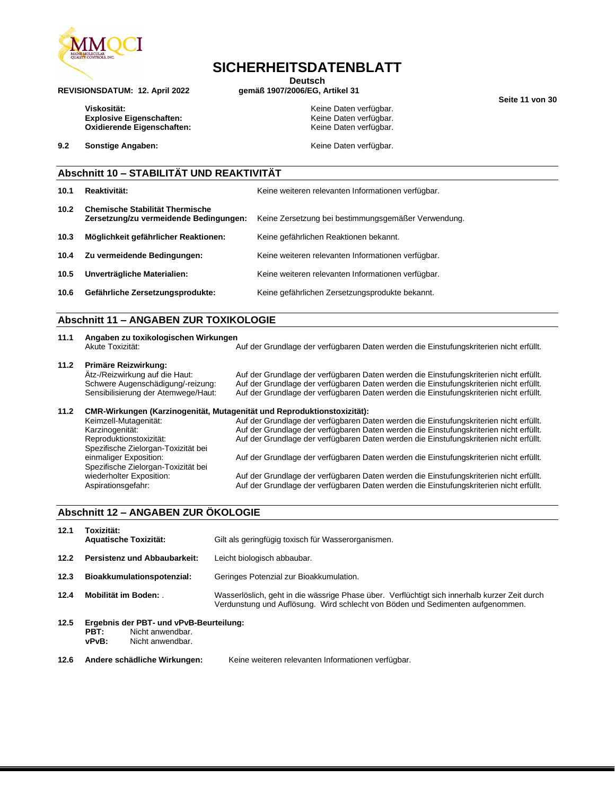

**SICHERHEITSDATENBLATT**

Deutsch<br>gemäß 1907/2006/EG, Artikel 31

**Seite 11 von 30**

Viskosität:<br>
Explosive Eigenschaften:<br>
Keine Daten verfügbar.<br>
Keine Daten verfügbar. Explosive Eigenschaften: **Explosive Eigenschaften:** Keine Daten verfügbar.<br> **Cxidierende Eigenschaften:** Keine Daten verfügbar. **Oxidierende Eigenschaften:** 

**REVISIONSDATUM: 12. April 2022** 

**9.2 Sonstige Angaben: Constigue Angaben: Keine Daten verfügbar.** 

#### **Abschnitt 10 – STABILITÄT UND REAKTIVITÄT**

| 10.1 | Reaktivität:                                                                     | Keine weiteren relevanten Informationen verfügbar.  |
|------|----------------------------------------------------------------------------------|-----------------------------------------------------|
| 10.2 | <b>Chemische Stabilität Thermische</b><br>Zersetzung/zu vermeidende Bedingungen: | Keine Zersetzung bei bestimmungsgemäßer Verwendung. |
| 10.3 | Möglichkeit gefährlicher Reaktionen:                                             | Keine gefährlichen Reaktionen bekannt.              |
| 10.4 | Zu vermeidende Bedingungen:                                                      | Keine weiteren relevanten Informationen verfügbar.  |
| 10.5 | Unverträgliche Materialien:                                                      | Keine weiteren relevanten Informationen verfügbar.  |
| 10.6 | Gefährliche Zersetzungsprodukte:                                                 | Keine gefährlichen Zersetzungsprodukte bekannt.     |

#### **Abschnitt 11 – ANGABEN ZUR TOXIKOLOGIE**

| 11.1 | Angaben zu toxikologischen Wirkungen<br>Akute Toxizität:                                                                                                                                                                                                                                                 | Auf der Grundlage der verfügbaren Daten werden die Einstufungskriterien nicht erfüllt.                                                                                                                                                                                                                                                                                                                                                                                                                                                                   |
|------|----------------------------------------------------------------------------------------------------------------------------------------------------------------------------------------------------------------------------------------------------------------------------------------------------------|----------------------------------------------------------------------------------------------------------------------------------------------------------------------------------------------------------------------------------------------------------------------------------------------------------------------------------------------------------------------------------------------------------------------------------------------------------------------------------------------------------------------------------------------------------|
| 11.2 | Primäre Reizwirkung:<br>Ätz-/Reizwirkung auf die Haut:<br>Schwere Augenschädigung/-reizung:<br>Sensibilisierung der Atemwege/Haut:                                                                                                                                                                       | Auf der Grundlage der verfügbaren Daten werden die Einstufungskriterien nicht erfüllt.<br>Auf der Grundlage der verfügbaren Daten werden die Einstufungskriterien nicht erfüllt.<br>Auf der Grundlage der verfügbaren Daten werden die Einstufungskriterien nicht erfüllt.                                                                                                                                                                                                                                                                               |
| 11.2 | CMR-Wirkungen (Karzinogenität, Mutagenität und Reproduktionstoxizität):<br>Keimzell-Mutagenität:<br>Karzinogenität:<br>Reproduktionstoxizität:<br>Spezifische Zielorgan-Toxizität bei<br>einmaliger Exposition:<br>Spezifische Zielorgan-Toxizität bei<br>wiederholter Exposition:<br>Aspirationsgefahr: | Auf der Grundlage der verfügbaren Daten werden die Einstufungskriterien nicht erfüllt.<br>Auf der Grundlage der verfügbaren Daten werden die Einstufungskriterien nicht erfüllt.<br>Auf der Grundlage der verfügbaren Daten werden die Einstufungskriterien nicht erfüllt.<br>Auf der Grundlage der verfügbaren Daten werden die Einstufungskriterien nicht erfüllt.<br>Auf der Grundlage der verfügbaren Daten werden die Einstufungskriterien nicht erfüllt.<br>Auf der Grundlage der verfügbaren Daten werden die Einstufungskriterien nicht erfüllt. |

#### **Abschnitt 12 – ANGABEN ZUR ÖKOLOGIE**

| 12.1                                                                          | Toxizität:<br><b>Aquatische Toxizität:</b>                                                       | Gilt als geringfügig toxisch für Wasserorganismen.                                                                                                                              |
|-------------------------------------------------------------------------------|--------------------------------------------------------------------------------------------------|---------------------------------------------------------------------------------------------------------------------------------------------------------------------------------|
| 12.2                                                                          | <b>Persistenz und Abbaubarkeit:</b>                                                              | Leicht biologisch abbaubar.                                                                                                                                                     |
| 12.3<br>Bioakkumulationspotenzial:<br>Geringes Potenzial zur Bioakkumulation. |                                                                                                  |                                                                                                                                                                                 |
| 12.4                                                                          | Mobilität im Boden:                                                                              | Wasserlöslich, geht in die wässrige Phase über. Verflüchtigt sich innerhalb kurzer Zeit durch<br>Verdunstung und Auflösung. Wird schlecht von Böden und Sedimenten aufgenommen. |
| 12.5                                                                          | Ergebnis der PBT- und vPvB-Beurteilung:<br>PBT:<br>Nicht anwendbar.<br>vPvB:<br>Nicht anwendbar. |                                                                                                                                                                                 |
| 12.6                                                                          | Andere schädliche Wirkungen:                                                                     | Keine weiteren relevanten Informationen verfügbar.                                                                                                                              |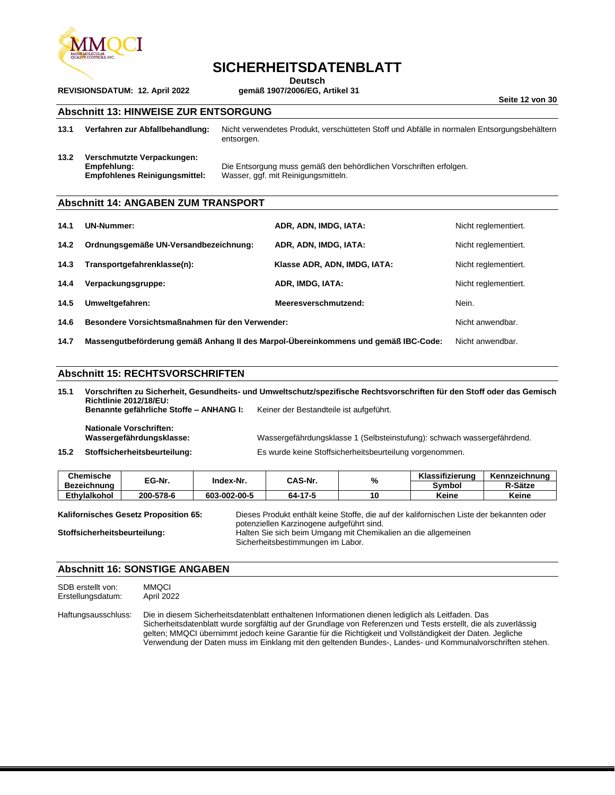

### **SICHERHEITSDATENBLATT**

**Deutsch**<br>gemäß 1907/2006/EG, Artikel 31

**Seite 12 von 30**

#### **Abschnitt 13: HINWEISE ZUR ENTSORGUNG**

**13.1 Verfahren zur Abfallbehandlung:** Nicht verwendetes Produkt, verschütteten Stoff und Abfälle in normalen Entsorgungsbehältern entsorgen.

**13.2 Verschmutzte Verpackungen:**

**Empfehlung:** Die Entsorgung muss gemäß den behördlichen Vorschriften erfolgen. Wasser, ggf. mit Reinigungsmitteln.

#### **Abschnitt 14: ANGABEN ZUM TRANSPORT**

| 14.1 | <b>UN-Nummer:</b>                                                                  | ADR, ADN, IMDG, IATA:        | Nicht reglementiert. |
|------|------------------------------------------------------------------------------------|------------------------------|----------------------|
| 14.2 | Ordnungsgemäße UN-Versandbezeichnung:                                              | ADR, ADN, IMDG, IATA:        | Nicht reglementiert. |
| 14.3 | Transportgefahrenklasse(n):                                                        | Klasse ADR, ADN, IMDG, IATA: | Nicht reglementiert. |
| 14.4 | Verpackungsgruppe:                                                                 | ADR, IMDG, IATA:             | Nicht reglementiert. |
| 14.5 | Umweltgefahren:                                                                    | Meeresverschmutzend:         | Nein.                |
| 14.6 | Besondere Vorsichtsmaßnahmen für den Verwender:                                    | Nicht anwendbar.             |                      |
| 14.7 | Massengutbeförderung gemäß Anhang II des Marpol-Übereinkommens und gemäß IBC-Code: |                              | Nicht anwendbar.     |

#### **Abschnitt 15: RECHTSVORSCHRIFTEN**

**15.1 Vorschriften zu Sicherheit, Gesundheits- und Umweltschutz/spezifische Rechtsvorschriften für den Stoff oder das Gemisch Richtlinie 2012/18/EU: Benannte gefährliche Stoffe – ANHANG I:** Keiner der Bestandteile ist aufgeführt.

**Nationale Vorschriften:**

Wassergefährdungsklasse 1 (Selbsteinstufung): schwach wassergefährdend. **15.2 Stoffsicherheitsbeurteilung:** Es wurde keine Stoffsicherheitsbeurteilung vorgenommen.

| Chemische          | EG-Nr.    | Index-Nr.    | CAS-Nr. | 0/ | Klassifizierung | Kennzeichnung |
|--------------------|-----------|--------------|---------|----|-----------------|---------------|
| <b>Bezeichnung</b> |           |              |         | 70 | Svmbol          | R-Sätze       |
| Ethvlalkohol       | 200-578-6 | 603-002-00-5 | 64-17-5 | 10 | Keine           | Keine         |

| Kalifornisches Gesetz Proposition 65: | Dieses Produkt enthält keine Stoffe, die auf der kalifornischen Liste der bekannten oder |
|---------------------------------------|------------------------------------------------------------------------------------------|
|                                       | potenziellen Karzinogene aufgeführt sind.                                                |
| Stoffsicherheitsbeurteilung:          | Halten Sie sich beim Umgang mit Chemikalien an die allgemeinen                           |
|                                       | Sicherheitsbestimmungen im Labor.                                                        |

#### **Abschnitt 16: SONSTIGE ANGABEN**

| SDB erstellt von: | <b>MMQCI</b> |
|-------------------|--------------|
| Erstellungsdatum: | April 2022   |

Haftungsausschluss: Die in diesem Sicherheitsdatenblatt enthaltenen Informationen dienen lediglich als Leitfaden. Das Sicherheitsdatenblatt wurde sorgfältig auf der Grundlage von Referenzen und Tests erstellt, die als zuverlässig gelten; MMQCI übernimmt jedoch keine Garantie für die Richtigkeit und Vollständigkeit der Daten. Jegliche Verwendung der Daten muss im Einklang mit den geltenden Bundes-, Landes- und Kommunalvorschriften stehen.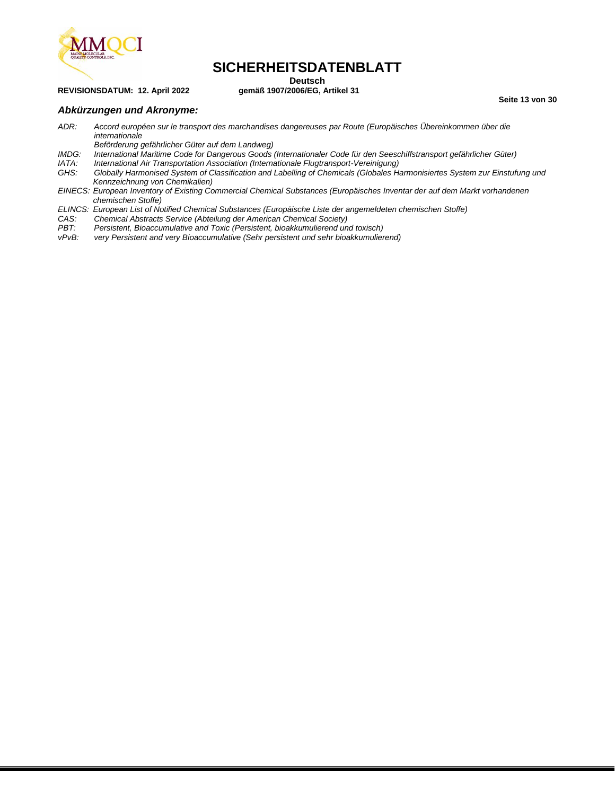

### **SICHERHEITSDATENBLATT**

#### **REVISIONSDATUM: 12. April 2022**

**Deutsch**<br>gemäß 1907/2006/EG, Artikel 31

**Seite 13 von 30**

#### *Abkürzungen und Akronyme:*

*ADR: Accord européen sur le transport des marchandises dangereuses par Route (Europäisches Übereinkommen über die internationale* 

- *Beförderung gefährlicher Güter auf dem Landweg)*
- *IMDG: International Maritime Code for Dangerous Goods (Internationaler Code für den Seeschiffstransport gefährlicher Güter)*
- *IATA: International Air Transportation Association (Internationale Flugtransport-Vereinigung)*
- *GHS: Globally Harmonised System of Classification and Labelling of Chemicals (Globales Harmonisiertes System zur Einstufung und Kennzeichnung von Chemikalien)*
- *EINECS: European Inventory of Existing Commercial Chemical Substances (Europäisches Inventar der auf dem Markt vorhandenen chemischen Stoffe)*
- *ELINCS: European List of Notified Chemical Substances (Europäische Liste der angemeldeten chemischen Stoffe)*
- *CAS: Chemical Abstracts Service (Abteilung der American Chemical Society)*
- *PBT: Persistent, Bioaccumulative and Toxic (Persistent, bioakkumulierend und toxisch)*
- very Persistent and very Bioaccumulative (Sehr persistent und sehr bioakkumulierend)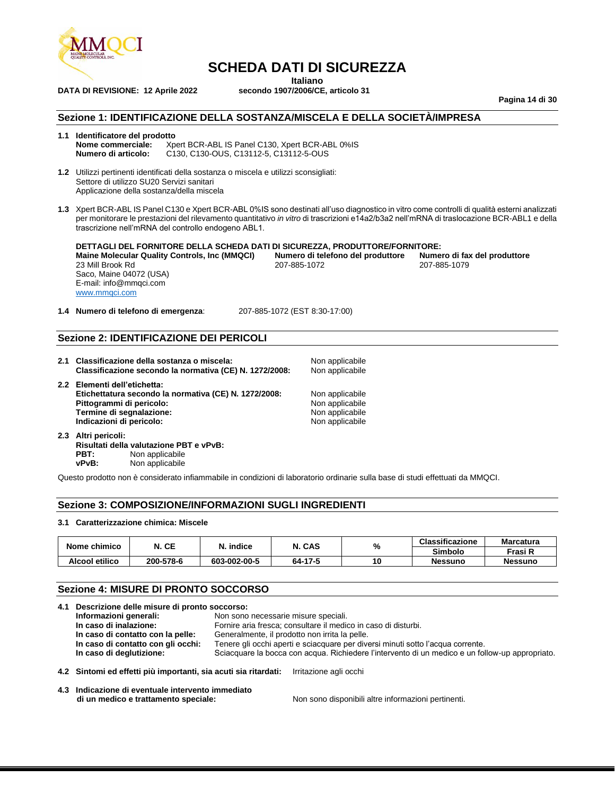

**DATA DI REVISIONE: 12 Aprile 2022** 

### **SCHEDA DATI DI SICUREZZA**

**Italiano**<br>**ITALIANO Secondo 1907/2006/CE, articolo 31** 

**Pagina 14 di 30**

#### **Sezione 1: IDENTIFICAZIONE DELLA SOSTANZA/MISCELA E DELLA SOCIETÀ/IMPRESA**

### **1.1 Identificatore del prodotto**

**Nome commerciale:** Xpert BCR-ABL IS Panel C130, Xpert BCR-ABL 0%IS<br>**Numero di articolo:** C130. C130-OUS. C13112-5. C13112-5-OUS **Numero di articolo:** C130, C130-OUS, C13112-5, C13112-5-OUS

**1.2** Utilizzi pertinenti identificati della sostanza o miscela e utilizzi sconsigliati: Settore di utilizzo SU20 Servizi sanitari Applicazione della sostanza/della miscela

**1.3** Xpert BCR-ABL IS Panel C130 e Xpert BCR-ABL 0%IS sono destinati all'uso diagnostico in vitro come controlli di qualità esterni analizzati per monitorare le prestazioni del rilevamento quantitativo *in vitro* di trascrizioni e14a2/b3a2 nell'mRNA di traslocazione BCR-ABL1 e della trascrizione nell'mRNA del controllo endogeno ABL1.

**DETTAGLI DEL FORNITORE DELLA SCHEDA DATI DI SICUREZZA, PRODUTTORE/FORNITORE: Maine Molecular Quality Controls, Inc (MMQCI) Numero di telefono del produttore Numero di fax del produttore Numero di fax del produttore numero di fax del produttore di fax del produttore di fax del produttor** 23 Mill Brook Rd Saco, Maine 04072 (USA) E-mail: info@mmqci.com [www.mmqci.com](http://www.mmqci.com/)

**1.4 Numero di telefono di emergenza**: 207-885-1072 (EST 8:30-17:00)

#### **Sezione 2: IDENTIFICAZIONE DEI PERICOLI**

- **2.1 Classificazione della sostanza o miscela:** Non applicabile **Classificazione secondo la normativa (CE) N. 1272/2008:** Non applicabile
- **2.2 Elementi dell'etichetta: Etichettatura secondo la normativa (CE) N. 1272/2008:** Non applicabile<br>**Pittogrammi di pericolo:** Non applicabile **Pittogrammi di pericolo:** Non applicabile<br> **Pittogrammi di segnalazione:** Non applicabile<br>
Non applicabile **Termine di segnalazione:** Non applicabile<br> **Indicazioni di pericolo:** Non applicabile<br>
Non applicabile **Indicazioni di pericolo:**

**2.3 Altri pericoli: Risultati della valutazione PBT e vPvB: PBT:** Non applicabile<br>vPvB: Non applicabile Non applicabile

Questo prodotto non è considerato infiammabile in condizioni di laboratorio ordinarie sulla base di studi effettuati da MMQCI.

#### **Sezione 3: COMPOSIZIONE/INFORMAZIONI SUGLI INGREDIENTI**

#### **3.1 Caratterizzazione chimica: Miscele**

| Nome chimico   | N. CE     | N. indice    | N. CAS  |    |                | %              | <b>Classificazione</b> | <b>Marcatura</b> |
|----------------|-----------|--------------|---------|----|----------------|----------------|------------------------|------------------|
|                |           |              |         |    | <b>Simbolo</b> | Frasi R        |                        |                  |
| Alcool etilico | 200-578-6 | 603-002-00-5 | 64-17-5 | 10 | <b>Nessuno</b> | <b>Nessuno</b> |                        |                  |

#### **Sezione 4: MISURE DI PRONTO SOCCORSO**

|  | 4.1 Descrizione delle misure di pronto soccorso:                                                                            |                                                                                                        |                                                    |  |  |
|--|-----------------------------------------------------------------------------------------------------------------------------|--------------------------------------------------------------------------------------------------------|----------------------------------------------------|--|--|
|  | Informazioni generali:                                                                                                      | Non sono necessarie misure speciali.<br>Fornire aria fresca; consultare il medico in caso di disturbi. |                                                    |  |  |
|  | In caso di inalazione:                                                                                                      |                                                                                                        |                                                    |  |  |
|  | In caso di contatto con la pelle:                                                                                           |                                                                                                        | Generalmente, il prodotto non irrita la pelle.     |  |  |
|  | In caso di contatto con gli occhi:                                                                                          | Tenere gli occhi aperti e sciacquare per diversi minuti sotto l'acqua corrente.                        |                                                    |  |  |
|  | Sciacquare la bocca con acqua. Richiedere l'intervento di un medico e un follow-up appropriato.<br>In caso di deglutizione: |                                                                                                        |                                                    |  |  |
|  | 4.2 Sintomi ed effetti più importanti, sia acuti sia ritardati:                                                             |                                                                                                        | Irritazione agli occhi                             |  |  |
|  | 4.3 Indicazione di eventuale intervento immediato<br>di un medica a trattamente ancelale:                                   |                                                                                                        | Non cono dicocolbili oltro informazioni nortinonti |  |  |

**di un medico e trattamento speciale:** Non sono disponibili altre informazioni pertinenti.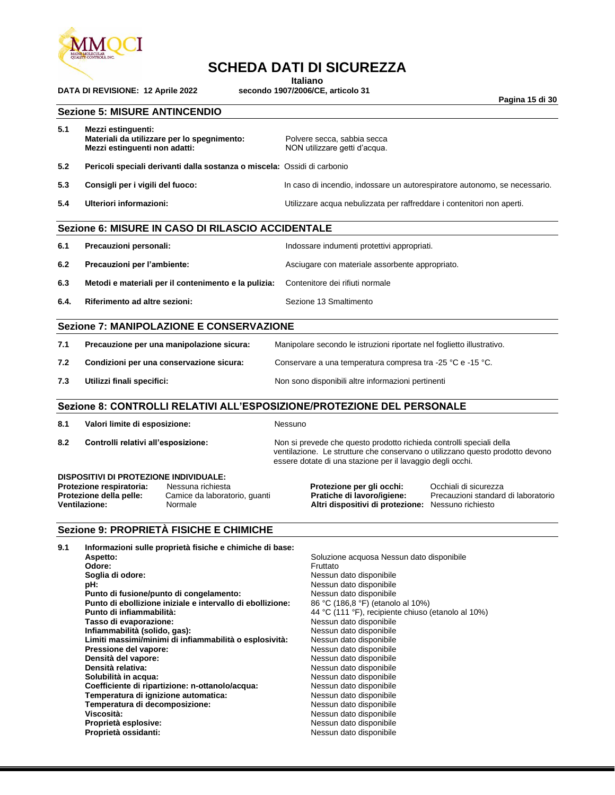

### **SCHEDA DATI DI SICUREZZA**

**Italiano**<br>**Interiory Secondo 1907/2006/CE**, articolo 31

**Pagina 15 di 30**

#### **Sezione 5: MISURE ANTINCENDIO**

**DATA DI REVISIONE: 12 Aprile 2022** 

| 5.1                                                                                                                                                                                    | Mezzi estinguenti:<br>Materiali da utilizzare per lo spegnimento:<br>Mezzi estinguenti non adatti:                                                                                                                                |                                                                                                                                                                                                                             | Polvere secca, sabbia secca<br>NON utilizzare getti d'acqua.                                                                                                                                                        |                                                                                                                                                                                                                                                                                                                                                                                                                                |                                                                            |  |
|----------------------------------------------------------------------------------------------------------------------------------------------------------------------------------------|-----------------------------------------------------------------------------------------------------------------------------------------------------------------------------------------------------------------------------------|-----------------------------------------------------------------------------------------------------------------------------------------------------------------------------------------------------------------------------|---------------------------------------------------------------------------------------------------------------------------------------------------------------------------------------------------------------------|--------------------------------------------------------------------------------------------------------------------------------------------------------------------------------------------------------------------------------------------------------------------------------------------------------------------------------------------------------------------------------------------------------------------------------|----------------------------------------------------------------------------|--|
| 5.2                                                                                                                                                                                    |                                                                                                                                                                                                                                   | Pericoli speciali derivanti dalla sostanza o miscela: Ossidi di carbonio                                                                                                                                                    |                                                                                                                                                                                                                     |                                                                                                                                                                                                                                                                                                                                                                                                                                |                                                                            |  |
| 5.3                                                                                                                                                                                    | Consigli per i vigili del fuoco:                                                                                                                                                                                                  |                                                                                                                                                                                                                             |                                                                                                                                                                                                                     |                                                                                                                                                                                                                                                                                                                                                                                                                                | In caso di incendio, indossare un autorespiratore autonomo, se necessario. |  |
| 5.4                                                                                                                                                                                    | Ulteriori informazioni:                                                                                                                                                                                                           |                                                                                                                                                                                                                             |                                                                                                                                                                                                                     | Utilizzare acqua nebulizzata per raffreddare i contenitori non aperti.                                                                                                                                                                                                                                                                                                                                                         |                                                                            |  |
|                                                                                                                                                                                        |                                                                                                                                                                                                                                   | Sezione 6: MISURE IN CASO DI RILASCIO ACCIDENTALE                                                                                                                                                                           |                                                                                                                                                                                                                     |                                                                                                                                                                                                                                                                                                                                                                                                                                |                                                                            |  |
| 6.1                                                                                                                                                                                    | Precauzioni personali:                                                                                                                                                                                                            |                                                                                                                                                                                                                             | Indossare indumenti protettivi appropriati.                                                                                                                                                                         |                                                                                                                                                                                                                                                                                                                                                                                                                                |                                                                            |  |
| 6.2                                                                                                                                                                                    | Precauzioni per l'ambiente:                                                                                                                                                                                                       |                                                                                                                                                                                                                             |                                                                                                                                                                                                                     | Asciugare con materiale assorbente appropriato.                                                                                                                                                                                                                                                                                                                                                                                |                                                                            |  |
| 6.3                                                                                                                                                                                    |                                                                                                                                                                                                                                   | Metodi e materiali per il contenimento e la pulizia:                                                                                                                                                                        |                                                                                                                                                                                                                     | Contenitore dei rifiuti normale                                                                                                                                                                                                                                                                                                                                                                                                |                                                                            |  |
| 6.4.                                                                                                                                                                                   | Riferimento ad altre sezioni:                                                                                                                                                                                                     |                                                                                                                                                                                                                             |                                                                                                                                                                                                                     | Sezione 13 Smaltimento                                                                                                                                                                                                                                                                                                                                                                                                         |                                                                            |  |
|                                                                                                                                                                                        |                                                                                                                                                                                                                                   | Sezione 7: MANIPOLAZIONE E CONSERVAZIONE                                                                                                                                                                                    |                                                                                                                                                                                                                     |                                                                                                                                                                                                                                                                                                                                                                                                                                |                                                                            |  |
| 7.1                                                                                                                                                                                    |                                                                                                                                                                                                                                   | Precauzione per una manipolazione sicura:                                                                                                                                                                                   | Manipolare secondo le istruzioni riportate nel foglietto illustrativo.                                                                                                                                              |                                                                                                                                                                                                                                                                                                                                                                                                                                |                                                                            |  |
| 7.2                                                                                                                                                                                    | Condizioni per una conservazione sicura:                                                                                                                                                                                          |                                                                                                                                                                                                                             | Conservare a una temperatura compresa tra -25 °C e -15 °C.                                                                                                                                                          |                                                                                                                                                                                                                                                                                                                                                                                                                                |                                                                            |  |
| 7.3                                                                                                                                                                                    | Utilizzi finali specifici:                                                                                                                                                                                                        |                                                                                                                                                                                                                             | Non sono disponibili altre informazioni pertinenti                                                                                                                                                                  |                                                                                                                                                                                                                                                                                                                                                                                                                                |                                                                            |  |
|                                                                                                                                                                                        |                                                                                                                                                                                                                                   |                                                                                                                                                                                                                             |                                                                                                                                                                                                                     | Sezione 8: CONTROLLI RELATIVI ALL'ESPOSIZIONE/PROTEZIONE DEL PERSONALE                                                                                                                                                                                                                                                                                                                                                         |                                                                            |  |
| 8.1                                                                                                                                                                                    | Valori limite di esposizione:                                                                                                                                                                                                     |                                                                                                                                                                                                                             | Nessuno                                                                                                                                                                                                             |                                                                                                                                                                                                                                                                                                                                                                                                                                |                                                                            |  |
| 8.2                                                                                                                                                                                    | Controlli relativi all'esposizione:                                                                                                                                                                                               |                                                                                                                                                                                                                             | Non si prevede che questo prodotto richieda controlli speciali della<br>ventilazione. Le strutture che conservano o utilizzano questo prodotto devono<br>essere dotate di una stazione per il lavaggio degli occhi. |                                                                                                                                                                                                                                                                                                                                                                                                                                |                                                                            |  |
| DISPOSITIVI DI PROTEZIONE INDIVIDUALE:<br>Protezione respiratoria:<br>Nessuna richiesta<br>Protezione della pelle:<br>Camice da laboratorio, guanti<br><b>Ventilazione:</b><br>Normale |                                                                                                                                                                                                                                   |                                                                                                                                                                                                                             | Protezione per gli occhi:<br>Pratiche di lavoro/igiene:<br>Altri dispositivi di protezione: Nessuno richiesto                                                                                                       | Occhiali di sicurezza<br>Precauzioni standard di laboratorio                                                                                                                                                                                                                                                                                                                                                                   |                                                                            |  |
|                                                                                                                                                                                        |                                                                                                                                                                                                                                   | Sezione 9: PROPRIETÀ FISICHE E CHIMICHE                                                                                                                                                                                     |                                                                                                                                                                                                                     |                                                                                                                                                                                                                                                                                                                                                                                                                                |                                                                            |  |
| 9.1                                                                                                                                                                                    | Aspetto:<br>Odore:<br>Soglia di odore:<br>pH:<br>Punto di infiammabilità:<br>Tasso di evaporazione:<br>Infiammabilità (solido, gas):<br>Pressione del vapore:<br>Densità del vapore:<br>Densità relativa:<br>Solubilità in acqua: | Informazioni sulle proprietà fisiche e chimiche di base:<br>Punto di fusione/punto di congelamento:<br>Punto di ebollizione iniziale e intervallo di ebollizione:<br>Limiti massimi/minimi di infiammabilità o esplosività: |                                                                                                                                                                                                                     | Soluzione acquosa Nessun dato disponibile<br>Fruttato<br>Nessun dato disponibile<br>Nessun dato disponibile<br>Nessun dato disponibile<br>86 °C (186,8 °F) (etanolo al 10%)<br>44 °C (111 °F), recipiente chiuso (etanolo al 10%)<br>Nessun dato disponibile<br>Nessun dato disponibile<br>Nessun dato disponibile<br>Nessun dato disponibile<br>Nessun dato disponibile<br>Nessun dato disponibile<br>Nessun dato disponibile |                                                                            |  |

**Coefficiente di ripartizione: n-ottanolo/acqua: Messun dato disponibile Temperatura di ignizione automatica:** Nessun dato disponibile<br> **Temperatura di decomposizione:** Nessun dato disponibile

**Viscosità:** Nessun dato disponibile e di un proportato disponibile e di un proportato disponibile e di un propor **Proprietà esplosive:** Nessun dato disponibile Proprietà ossidanti: **Nessun dato disponibile** 

Temperatura di decomposizione:<br>Viscosità: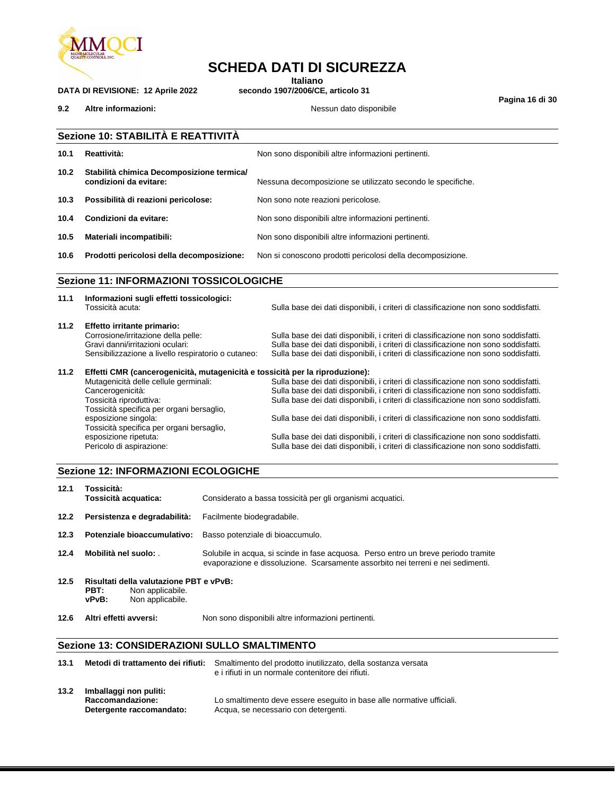

## **SCHEDA DATI DI SICUREZZA**

**Italiano**<br>**Interiory Secondo 1907/2006/CE**, articolo 31

**9.2 Altre informazioni:**  $\qquad$  **Nessun dato disponibile** 

**DATA DI REVISIONE: 12 Aprile 2022** 

**Pagina 16 di 30**

| 10.1              | Reattività:                                                         | Non sono disponibili altre informazioni pertinenti.         |
|-------------------|---------------------------------------------------------------------|-------------------------------------------------------------|
| 10.2 <sub>1</sub> | Stabilità chimica Decomposizione termica/<br>condizioni da evitare: | Nessuna decomposizione se utilizzato secondo le specifiche. |
| 10.3              | Possibilità di reazioni pericolose:                                 | Non sono note reazioni pericolose.                          |
| 10.4              | Condizioni da evitare:                                              | Non sono disponibili altre informazioni pertinenti.         |
| 10.5              | Materiali incompatibili:                                            | Non sono disponibili altre informazioni pertinenti.         |
| 10.6              | Prodotti pericolosi della decomposizione:                           | Non si conoscono prodotti pericolosi della decomposizione.  |

|      | Tossicità acuta:                                                             | Sulla base dei dati disponibili, i criteri di classificazione non sono soddisfatti. |  |  |  |
|------|------------------------------------------------------------------------------|-------------------------------------------------------------------------------------|--|--|--|
| 11.2 | Effetto irritante primario:                                                  |                                                                                     |  |  |  |
|      | Corrosione/irritazione della pelle:                                          | Sulla base dei dati disponibili, i criteri di classificazione non sono soddisfatti. |  |  |  |
|      | Gravi danni/irritazioni oculari:                                             | Sulla base dei dati disponibili, i criteri di classificazione non sono soddisfatti. |  |  |  |
|      | Sensibilizzazione a livello respiratorio o cutaneo:                          | Sulla base dei dati disponibili, i criteri di classificazione non sono soddisfatti. |  |  |  |
| 11.2 | Effetti CMR (cancerogenicità, mutagenicità e tossicità per la riproduzione): |                                                                                     |  |  |  |
|      | Mutagenicità delle cellule germinali:                                        | Sulla base dei dati disponibili, i criteri di classificazione non sono soddisfatti. |  |  |  |
|      | Cancerogenicità:                                                             | Sulla base dei dati disponibili, i criteri di classificazione non sono soddisfatti. |  |  |  |
|      | Tossicità riproduttiva:                                                      | Sulla base dei dati disponibili, i criteri di classificazione non sono soddisfatti. |  |  |  |
|      | Tossicità specifica per organi bersaglio,                                    |                                                                                     |  |  |  |
|      | esposizione singola:                                                         | Sulla base dei dati disponibili, i criteri di classificazione non sono soddisfatti. |  |  |  |
|      | Tossicità specifica per organi bersaglio,                                    |                                                                                     |  |  |  |
|      | esposizione ripetuta:                                                        | Sulla base dei dati disponibili, i criteri di classificazione non sono soddisfatti. |  |  |  |
|      | Pericolo di aspirazione:                                                     | Sulla base dei dati disponibili, i criteri di classificazione non sono soddisfatti. |  |  |  |

#### **Sezione 12: INFORMAZIONI ECOLOGICHE**

| 12.1                           | Tossicità:<br>Tossicità acquatica:                                                                                                                        | Considerato a bassa tossicità per gli organismi acquatici.                                                                                                            |  |  |
|--------------------------------|-----------------------------------------------------------------------------------------------------------------------------------------------------------|-----------------------------------------------------------------------------------------------------------------------------------------------------------------------|--|--|
| 12.2                           | Persistenza e degradabilità:                                                                                                                              | Facilmente biodegradabile.                                                                                                                                            |  |  |
| 12.3                           | Potenziale bioaccumulativo:                                                                                                                               | Basso potenziale di bioaccumulo.                                                                                                                                      |  |  |
| 12.4                           | Mobilità nel suolo:                                                                                                                                       | Solubile in acqua, si scinde in fase acquosa. Perso entro un breve periodo tramite<br>evaporazione e dissoluzione. Scarsamente assorbito nei terreni e nei sedimenti. |  |  |
| 12.5                           | Risultati della valutazione PBT e vPvB:<br>PBT:<br>Non applicabile.<br>Non applicabile.<br>vPvB:                                                          |                                                                                                                                                                       |  |  |
| 12.6                           | Altri effetti avversi:                                                                                                                                    | Non sono disponibili altre informazioni pertinenti.                                                                                                                   |  |  |
|                                | <b>Sezione 13: CONSIDERAZIONI SULLO SMALTIMENTO</b>                                                                                                       |                                                                                                                                                                       |  |  |
| 13.1                           | Metodi di trattamento dei rifiuti:<br>Smaltimento del prodotto inutilizzato, della sostanza versata<br>e i rifiuti in un normale contenitore dei rifiuti. |                                                                                                                                                                       |  |  |
| 13.2<br>Imballaggi non puliti: |                                                                                                                                                           |                                                                                                                                                                       |  |  |

| Lo smaltimento deve essere eseguito in base alle normative ufficiali. |
|-----------------------------------------------------------------------|
| Acqua, se necessario con detergenti.                                  |
| Raccomandazione:<br>Detergente raccomandato:                          |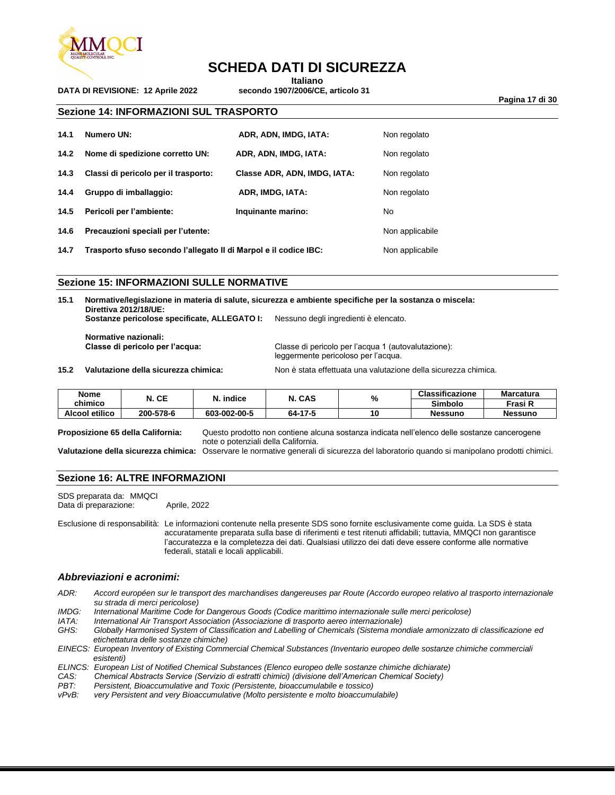

**DATA DI REVISIONE: 12 Aprile 2022** 

### **SCHEDA DATI DI SICUREZZA**

**Italiano**<br>**ITALIANO Secondo 1907/2006/CE, articolo 31** 

**Pagina 17 di 30**

**Sezione 14: INFORMAZIONI SUL TRASPORTO**

| 14.1 | Numero UN:                                                       | ADR, ADN, IMDG, IATA:        | Non regolato    |
|------|------------------------------------------------------------------|------------------------------|-----------------|
| 14.2 | Nome di spedizione corretto UN:                                  | ADR, ADN, IMDG, IATA:        | Non regolato    |
| 14.3 | Classi di pericolo per il trasporto:                             | Classe ADR, ADN, IMDG, IATA: | Non regolato    |
| 14.4 | Gruppo di imballaggio:                                           | ADR, IMDG, IATA:             | Non regolato    |
| 14.5 | Pericoli per l'ambiente:                                         | Inquinante marino:           | No.             |
| 14.6 | Precauzioni speciali per l'utente:                               | Non applicabile              |                 |
| 14.7 | Trasporto sfuso secondo l'allegato II di Marpol e il codice IBC: |                              | Non applicabile |

#### **Sezione 15: INFORMAZIONI SULLE NORMATIVE**

**15.1 Normative/legislazione in materia di salute, sicurezza e ambiente specifiche per la sostanza o miscela: Direttiva 2012/18/UE: Sostanze pericolose specificate, ALLEGATO I:** Nessuno degli ingredienti è elencato. **Normative nazionali:**

**Classe di pericolo per l'acqua:** Classe di pericolo per l'acqua 1 (autovalutazione): leggermente pericoloso per l'acqua.

**15.2 Valutazione della sicurezza chimica:** Non è stata effettuata una valutazione della sicurezza chimica.

**Nome chimico N. CE N. indice N. CAS % Classificazione Marcatura Simbolo Frasi R Alcool etilico 200-578-6 603-002-00-5 64-17-5 10 Nessuno Nessuno**

**Proposizione 65 della California:** Questo prodotto non contiene alcuna sostanza indicata nell'elenco delle sostanze cancerogene note o potenziali della California.

**Valutazione della sicurezza chimica:** Osservare le normative generali di sicurezza del laboratorio quando si manipolano prodotti chimici.

#### **Sezione 16: ALTRE INFORMAZIONI**

SDS preparata da: MMQCI Data di preparazione: Aprile, 2022

Esclusione di responsabilità: Le informazioni contenute nella presente SDS sono fornite esclusivamente come guida. La SDS è stata accuratamente preparata sulla base di riferimenti e test ritenuti affidabili; tuttavia, MMQCI non garantisce l'accuratezza e la completezza dei dati. Qualsiasi utilizzo dei dati deve essere conforme alle normative federali, statali e locali applicabili.

#### *Abbreviazioni e acronimi:*

- *ADR: Accord européen sur le transport des marchandises dangereuses par Route (Accordo europeo relativo al trasporto internazionale su strada di merci pericolose)*
- *IMDG: International Maritime Code for Dangerous Goods (Codice marittimo internazionale sulle merci pericolose)*
- *IATA: International Air Transport Association (Associazione di trasporto aereo internazionale)*
- *GHS: Globally Harmonised System of Classification and Labelling of Chemicals (Sistema mondiale armonizzato di classificazione ed etichettatura delle sostanze chimiche)*

*EINECS: European Inventory of Existing Commercial Chemical Substances (Inventario europeo delle sostanze chimiche commerciali esistenti)*

*ELINCS: European List of Notified Chemical Substances (Elenco europeo delle sostanze chimiche dichiarate)*

- *CAS: Chemical Abstracts Service (Servizio di estratti chimici) (divisione dell'American Chemical Society)*
- *PBT: Persistent, Bioaccumulative and Toxic (Persistente, bioaccumulabile e tossico)*

very Persistent and very Bioaccumulative (Molto persistente e molto bioaccumulabile)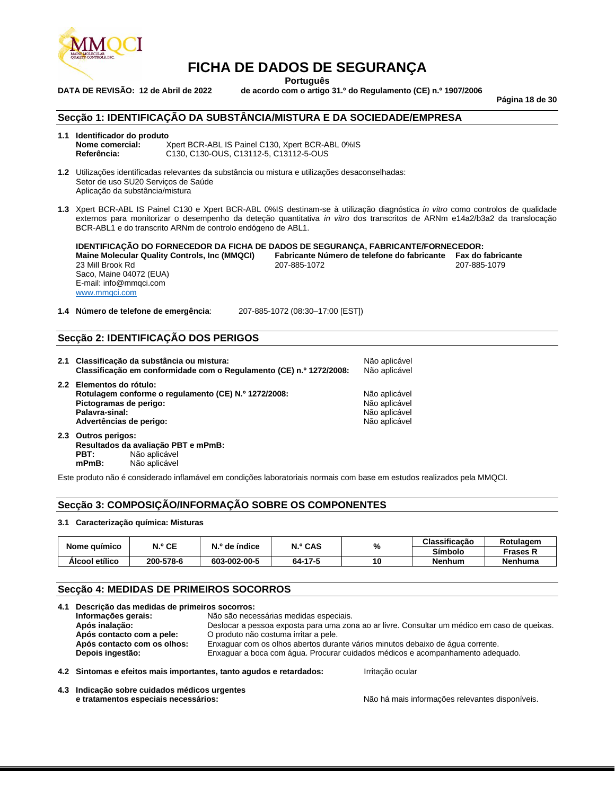

**Português**

**DATA DE REVISÃO: 12 de Abril de 2022 de acordo com o artigo 31.º do Regulamento (CE) n.º 1907/2006**

**Página 18 de 30**

#### **Secção 1: IDENTIFICAÇÃO DA SUBSTÂNCIA/MISTURA E DA SOCIEDADE/EMPRESA**

#### **1.1 Identificador do produto**

**Nome comercial:** Xpert BCR-ABL IS Painel C130, Xpert BCR-ABL 0%IS<br>
Referência: C130, C130-OUS, C13112-5, C13112-5-OUS **Referência:** C130, C130-OUS, C13112-5, C13112-5-OUS

- **1.2** Utilizações identificadas relevantes da substância ou mistura e utilizações desaconselhadas: Setor de uso SU20 Serviços de Saúde Aplicação da substância/mistura
- **1.3** Xpert BCR-ABL IS Painel C130 e Xpert BCR-ABL 0%IS destinam-se à utilização diagnóstica *in vitro* como controlos de qualidade externos para monitorizar o desempenho da deteção quantitativa *in vitro* dos transcritos de ARNm e14a2/b3a2 da translocação BCR-ABL1 e do transcrito ARNm de controlo endógeno de ABL1.

**IDENTIFICAÇÃO DO FORNECEDOR DA FICHA DE DADOS DE SEGURANÇA, FABRICANTE/FORNECEDOR: Mainte Molecular Controls Controls (Fax do fabricante 1986-1072)**<br>
207-885-1079 23 Mill Brook Rd Saco, Maine 04072 (EUA) E-mail: info@mmqci.com [www.mmqci.com](http://www.mmqci.com/)

**1.4 Número de telefone de emergência**: 207-885-1072 (08:30–17:00 [EST])

#### **Secção 2: IDENTIFICAÇÃO DOS PERIGOS**

| 2.1 Classificação da substância ou mistura:<br>Classificação em conformidade com o Regulamento (CE) n.º 1272/2008:                                      | Não aplicável<br>Não aplicável                                   |
|---------------------------------------------------------------------------------------------------------------------------------------------------------|------------------------------------------------------------------|
| 2.2 Elementos do rótulo:<br>Rotulagem conforme o regulamento (CE) N.º 1272/2008:<br>Pictogramas de perigo:<br>Palavra-sinal:<br>Advertências de perigo: | Não aplicável<br>Não aplicável<br>Não aplicável<br>Não aplicável |

**2.3 Outros perigos: Resultados da avaliação PBT e mPmB: PBT:** Não aplicável<br> **mPmB:** Não aplicável **mPmB:** Não aplicável

Este produto não é considerado inflamável em condições laboratoriais normais com base em estudos realizados pela MMQCI.

#### **Secção 3: COMPOSIÇÃO/INFORMAÇÃO SOBRE OS COMPONENTES**

#### **3.1 Caracterização química: Misturas**

| Nome guímico   | N.º CE    | N.º de índice | N.º CAS |    | %             | Classificação   | Rotulagem |
|----------------|-----------|---------------|---------|----|---------------|-----------------|-----------|
|                |           |               |         |    | Símbolo       | <b>Frases K</b> |           |
| Alcool etílico | 200-578-6 | 603-002-00-5  | 64-17-5 | 10 | <b>Nenhum</b> | <b>Nenhuma</b>  |           |

#### **Secção 4: MEDIDAS DE PRIMEIROS SOCORROS**

|  | 4.1 Descrição das medidas de primeiros socorros:                                                                                                                                     |                                                                     |                                                                   |                  |  |                                                                                |  |
|--|--------------------------------------------------------------------------------------------------------------------------------------------------------------------------------------|---------------------------------------------------------------------|-------------------------------------------------------------------|------------------|--|--------------------------------------------------------------------------------|--|
|  | Informações gerais:                                                                                                                                                                  | Não são necessárias medidas especiais.                              |                                                                   |                  |  |                                                                                |  |
|  | Deslocar a pessoa exposta para uma zona ao ar livre. Consultar um médico em caso de queixas.<br>Após inalação:<br>Após contacto com a pele:<br>O produto não costuma irritar a pele. |                                                                     |                                                                   |                  |  |                                                                                |  |
|  |                                                                                                                                                                                      |                                                                     |                                                                   |                  |  | Enxaguar com os olhos abertos durante vários minutos debaixo de água corrente. |  |
|  | Depois ingestão:<br>Enxaguar a boca com água. Procurar cuidados médicos e acompanhamento adequado.                                                                                   |                                                                     |                                                                   |                  |  |                                                                                |  |
|  |                                                                                                                                                                                      | 4.2 Sintomas e efeitos mais importantes, tanto agudos e retardados: |                                                                   | Irritação ocular |  |                                                                                |  |
|  | 4.3 Indicação sobre cuidados médicos urgentes<br>a tuatamantan anusalala usasandulan:                                                                                                |                                                                     | AIZ a la 4 marcha bafamos an Zunando contra a disponibilità della |                  |  |                                                                                |  |

**e tratamentos especiais necessários:** Não há mais informações relevantes disponíveis.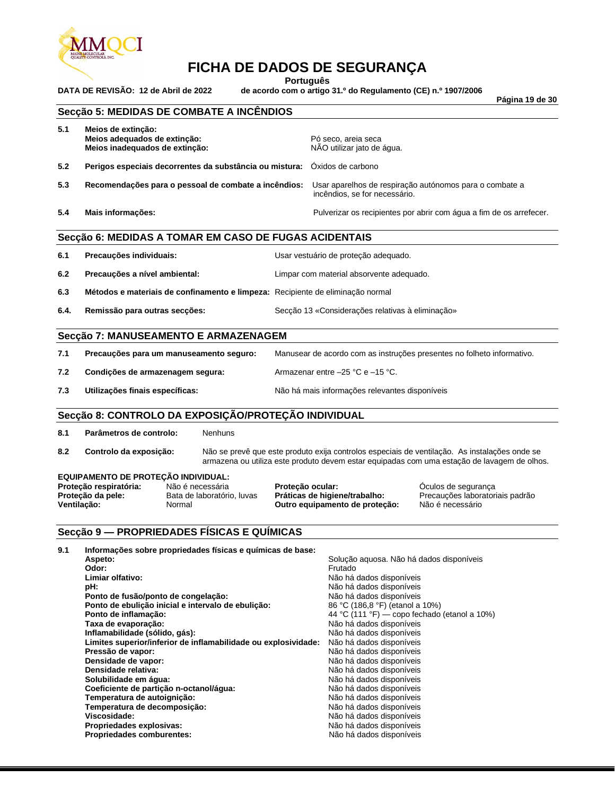

**Português**

**DATA DE REVISÃO: 12 de Abril de 2022 de acordo com o artigo 31.º do Regulamento (CE) n.º 1907/2006**

**Página 19 de 30**

#### **Secção 5: MEDIDAS DE COMBATE A INCÊNDIOS**

| 5.1 | Meios de extinção:<br>Meios adequados de extinção:<br>Meios inadequados de extinção: | Pó seco, areia seca<br>NÃO utilizar jato de água.                                        |  |  |  |
|-----|--------------------------------------------------------------------------------------|------------------------------------------------------------------------------------------|--|--|--|
| 5.2 | Perigos especiais decorrentes da substância ou mistura: Óxidos de carbono            |                                                                                          |  |  |  |
| 5.3 | Recomendações para o pessoal de combate a incêndios:                                 | Usar aparelhos de respiração autónomos para o combate a<br>incêndios, se for necessário. |  |  |  |
| 5.4 | Mais informações:                                                                    | Pulverizar os recipientes por abrir com água a fim de os arrefecer.                      |  |  |  |
|     | Secção 6: MEDIDAS A TOMAR EM CASO DE FUGAS ACIDENTAIS                                |                                                                                          |  |  |  |

| 6.1 | Precauções individuais:                                                        | Usar vestuário de proteção adequado.     |
|-----|--------------------------------------------------------------------------------|------------------------------------------|
| 6.2 | Precauções a nível ambiental:                                                  | Limpar com material absorvente adequado. |
| 6.3 | Métodos e materiais de confinamento e limpeza: Recipiente de eliminação normal |                                          |

**6.4. Remissão para outras secções:** Secção 13 «Considerações relativas à eliminação»

#### **Secção 7: MANUSEAMENTO E ARMAZENAGEM**

| 7.1 | Precauções para um manuseamento seguro: | Manusear de acordo com as instruções presentes no folheto informativo. |
|-----|-----------------------------------------|------------------------------------------------------------------------|
| 7.2 | Condições de armazenagem segura:        | Armazenar entre $-25$ °C e $-15$ °C.                                   |
| 7.3 | Utilizações finais específicas:         | Não há mais informações relevantes disponíveis                         |

#### **Secção 8: CONTROLO DA EXPOSIÇÃO/PROTEÇÃO INDIVIDUAL**

**8.1 Parâmetros de controlo:** Nenhuns

**8.2 Controlo da exposição:** Não se prevê que este produto exija controlos especiais de ventilação. As instalações onde se armazena ou utiliza este produto devem estar equipadas com uma estação de lavagem de olhos.

#### **EQUIPAMENTO DE PROTEÇÃO INDIVIDUAL:**

**Proteção respiratória:** Não é necessária **Proteção ocular:** Óculos de segurança **Proteção da pele:** Bata de laboratório, luvas **Práticas de higiene/trabalho:** Precauções laboratoriais padrão<br>**Ventilação:** Não é necessário **Naticas de la proteção de proteção:** Não é necessário **Outro equipamento de proteção:** 

#### **Secção 9 — PROPRIEDADES FÍSICAS E QUÍMICAS**

| Informações sobre propriedades físicas e químicas de base:     |                                              |
|----------------------------------------------------------------|----------------------------------------------|
| Aspeto:                                                        | Solução aquosa. Não há dados disponíveis     |
| Odor:                                                          | Frutado                                      |
| Limiar olfativo:                                               | Não há dados disponíveis                     |
| pH:                                                            | Não há dados disponíveis                     |
| Ponto de fusão/ponto de congelação:                            | Não há dados disponíveis                     |
| Ponto de ebulição inicial e intervalo de ebulição:             | 86 °C (186,8 °F) (etanol a 10%)              |
| Ponto de inflamação:                                           | 44 °C (111 °F) — copo fechado (etanol a 10%) |
| Taxa de evaporação:                                            | Não há dados disponíveis                     |
| Inflamabilidade (sólido, gás):                                 | Não há dados disponíveis                     |
| Limites superior/inferior de inflamabilidade ou explosividade: | Não há dados disponíveis                     |
| Pressão de vapor:                                              | Não há dados disponíveis                     |
| Densidade de vapor:                                            | Não há dados disponíveis                     |
|                                                                | Não há dados disponíveis                     |
| Solubilidade em água:                                          | Não há dados disponíveis                     |
| Coeficiente de partição n-octanol/água:                        | Não há dados disponíveis                     |
| Temperatura de autoignição:                                    | Não há dados disponíveis                     |
| Temperatura de decomposição:                                   | Não há dados disponíveis                     |
| Viscosidade:                                                   | Não há dados disponíveis                     |
| Propriedades explosivas:                                       | Não há dados disponíveis                     |
| <b>Propriedades comburentes:</b>                               | Não há dados disponíveis                     |
|                                                                | Densidade relativa:                          |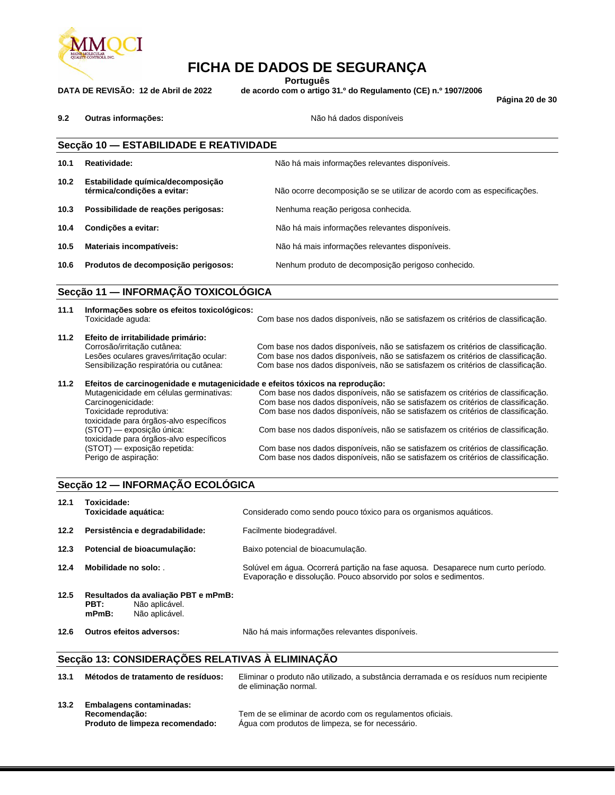

**Português**

**DATA DE REVISÃO: 12 de Abril de 2022 de acordo com o artigo 31.º do Regulamento (CE) n.º 1907/2006**

**Página 20 de 30**

**9.2 Outras informações:** Não há dados disponíveis

|      | Secção 10 - ESTABILIDADE E REATIVIDADE                           |                                                                         |  |  |
|------|------------------------------------------------------------------|-------------------------------------------------------------------------|--|--|
| 10.1 | Reatividade:                                                     | Não há mais informações relevantes disponíveis.                         |  |  |
| 10.2 | Estabilidade química/decomposição<br>térmica/condições a evitar: | Não ocorre decomposição se se utilizar de acordo com as especificações. |  |  |
| 10.3 | Possibilidade de reações perigosas:                              | Nenhuma reação perigosa conhecida.                                      |  |  |
| 10.4 | Condições a evitar:                                              | Não há mais informações relevantes disponíveis.                         |  |  |
| 10.5 | Materiais incompatíveis:                                         | Não há mais informações relevantes disponíveis.                         |  |  |
| 10.6 | Produtos de decomposição perigosos:                              | Nenhum produto de decomposição perigoso conhecido.                      |  |  |

#### **Secção 11 — INFORMAÇÃO TOXICOLÓGICA**

| 11.1 | Informações sobre os efeitos toxicológicos:<br>Toxicidade aguda:             | Com base nos dados disponíveis, não se satisfazem os critérios de classificação. |  |  |  |
|------|------------------------------------------------------------------------------|----------------------------------------------------------------------------------|--|--|--|
| 11.2 | Efeito de irritabilidade primário:                                           |                                                                                  |  |  |  |
|      | Corrosão/irritação cutânea:                                                  | Com base nos dados disponíveis, não se satisfazem os critérios de classificação. |  |  |  |
|      | Lesões oculares graves/irritação ocular:                                     | Com base nos dados disponíveis, não se satisfazem os critérios de classificação. |  |  |  |
|      | Sensibilização respiratória ou cutânea:                                      | Com base nos dados disponíveis, não se satisfazem os critérios de classificação. |  |  |  |
| 11.2 | Efeitos de carcinogenidade e mutagenicidade e efeitos tóxicos na reprodução: |                                                                                  |  |  |  |
|      | Mutagenicidade em células germinativas:                                      | Com base nos dados disponíveis, não se satisfazem os critérios de classificação. |  |  |  |
|      | Carcinogenicidade:                                                           | Com base nos dados disponíveis, não se satisfazem os critérios de classificação. |  |  |  |
|      | Toxicidade reprodutiva:                                                      | Com base nos dados disponíveis, não se satisfazem os critérios de classificação. |  |  |  |
|      | toxicidade para órgãos-alvo específicos                                      |                                                                                  |  |  |  |
|      | (STOT) — exposição única:                                                    | Com base nos dados disponíveis, não se satisfazem os critérios de classificação. |  |  |  |
|      | toxicidade para órgãos-alvo específicos                                      |                                                                                  |  |  |  |
|      | (STOT) — exposição repetida:                                                 | Com base nos dados disponíveis, não se satisfazem os critérios de classificação. |  |  |  |
|      | Perigo de aspiração:                                                         | Com base nos dados disponíveis, não se satisfazem os critérios de classificação. |  |  |  |

#### **Secção 12 — INFORMAÇÃO ECOLÓGICA**

| 12.1 | Toxicidade:<br>Toxicidade aquática:                                                         | Considerado como sendo pouco tóxico para os organismos aquáticos.                                                                                    |
|------|---------------------------------------------------------------------------------------------|------------------------------------------------------------------------------------------------------------------------------------------------------|
| 12.2 | Persistência e degradabilidade:                                                             | Facilmente biodegradável.                                                                                                                            |
| 12.3 | Potencial de bioacumulação:                                                                 | Baixo potencial de bioacumulação.                                                                                                                    |
| 12.4 | Mobilidade no solo:                                                                         | Solúvel em água. Ocorrerá partição na fase aguosa. Desaparece num curto período.<br>Evaporação e dissolução. Pouco absorvido por solos e sedimentos. |
| 12.5 | Resultados da avaliação PBT e mPmB:<br>PBT:<br>Não aplicável.<br>Não aplicável.<br>$mPmB$ : |                                                                                                                                                      |
| 12.6 | Outros efeitos adversos:                                                                    | Não há mais informações relevantes disponíveis.                                                                                                      |

### **Secção 13: CONSIDERAÇÕES RELATIVAS À ELIMINAÇÃO**

| 13.1 | Métodos de tratamento de resíduos:                                                  | Eliminar o produto não utilizado, a substância derramada e os resíduos num recipiente<br>de eliminação normal. |
|------|-------------------------------------------------------------------------------------|----------------------------------------------------------------------------------------------------------------|
| 13.2 | <b>Embalagens contaminadas:</b><br>Recomendação:<br>Produto de limpeza recomendado: | Tem de se eliminar de acordo com os regulamentos oficiais.<br>Agua com produtos de limpeza, se for necessário. |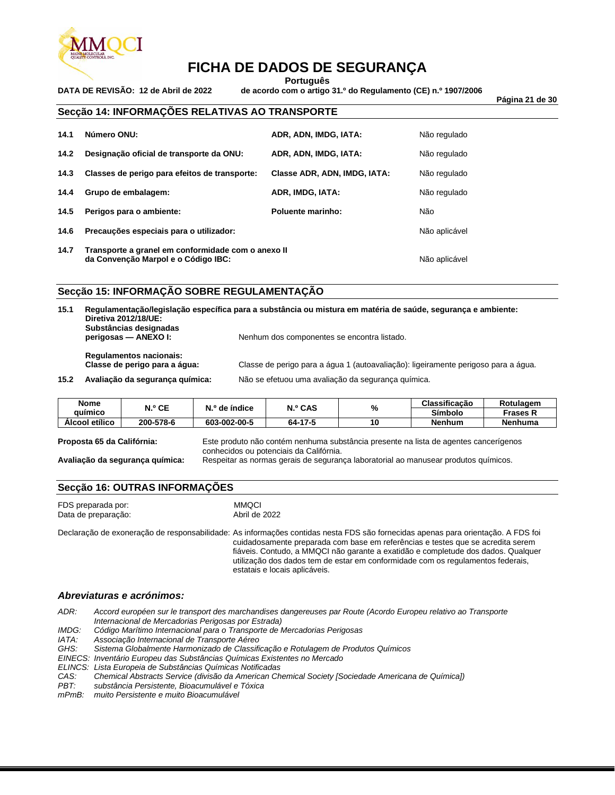

**Português**

**DATA DE REVISÃO: 12 de Abril de 2022 de acordo com o artigo 31.º do Regulamento (CE) n.º 1907/2006**

**Página 21 de 30**

#### **Secção 14: INFORMAÇÕES RELATIVAS AO TRANSPORTE**

| 14.1 | Número ONU:                                                                               | ADR, ADN, IMDG, IATA:        | Não regulado |
|------|-------------------------------------------------------------------------------------------|------------------------------|--------------|
| 14.2 | Designação oficial de transporte da ONU:                                                  | ADR, ADN, IMDG, IATA:        | Não regulado |
| 14.3 | Classes de perigo para efeitos de transporte:                                             | Classe ADR, ADN, IMDG, IATA: | Não regulado |
| 14.4 | Grupo de embalagem:                                                                       | ADR, IMDG, IATA:             | Não regulado |
| 14.5 | Perigos para o ambiente:                                                                  | Poluente marinho:            | Não          |
| 14.6 | Precauções especiais para o utilizador:                                                   | Não aplicável                |              |
| 14.7 | Transporte a granel em conformidade com o anexo II<br>da Convenção Marpol e o Código IBC: | Não aplicável                |              |

#### **Secção 15: INFORMAÇÃO SOBRE REGULAMENTAÇÃO**

**15.1 Regulamentação/legislação específica para a substância ou mistura em matéria de saúde, segurança e ambiente: Diretiva 2012/18/UE: Substâncias designadas**  Nenhum dos componentes se encontra listado. **Regulamentos nacionais: Classe de perigo para a água:** Classe de perigo para a água 1 (autoavaliação): ligeiramente perigoso para a água.

**15.2 Avaliação da segurança química:** Não se efetuou uma avaliação da segurança química.

| Nome           | ላ.º CE    | `' º de índice | <b>N.º CAS</b> | $\mathbf{0}$ | Classificação | Rotulagem       |
|----------------|-----------|----------------|----------------|--------------|---------------|-----------------|
| auimico        |           |                |                | 70           | Símbolo       | <b>Frases N</b> |
| Álcool etílico | 200-578-6 | 603-002-00-5   | 64-17-5        | ۱0           | Nenhum        | Nenhuma         |

**Proposta 65 da Califórnia:** Este produto não contém nenhuma substância presente na lista de agentes cancerígenos conhecidos ou potenciais da Califórnia.

**Avaliação da segurança química:** Respeitar as normas gerais de segurança laboratorial ao manusear produtos químicos.

#### **Secção 16: OUTRAS INFORMAÇÕES**

| FDS preparada por:  | <b>MMQCI</b>  |
|---------------------|---------------|
| Data de preparação: | Abril de 2022 |

Declaração de exoneração de responsabilidade: As informações contidas nesta FDS são fornecidas apenas para orientação. A FDS foi cuidadosamente preparada com base em referências e testes que se acredita serem fiáveis. Contudo, a MMQCI não garante a exatidão e completude dos dados. Qualquer utilização dos dados tem de estar em conformidade com os regulamentos federais, estatais e locais aplicáveis.

#### *Abreviaturas e acrónimos:*

*ADR: Accord européen sur le transport des marchandises dangereuses par Route (Acordo Europeu relativo ao Transporte Internacional de Mercadorias Perigosas por Estrada)*

*IMDG: Código Marítimo Internacional para o Transporte de Mercadorias Perigosas*

*IATA: Associação Internacional de Transporte Aéreo*

*GHS: Sistema Globalmente Harmonizado de Classificação e Rotulagem de Produtos Químicos*

*EINECS: Inventário Europeu das Substâncias Químicas Existentes no Mercado*

*ELINCS: Lista Europeia de Substâncias Químicas Notificadas*

*CAS: Chemical Abstracts Service (divisão da American Chemical Society [Sociedade Americana de Química])*

*PBT: substância Persistente, Bioacumulável e Tóxica*

*mPmB: muito Persistente e muito Bioacumulável*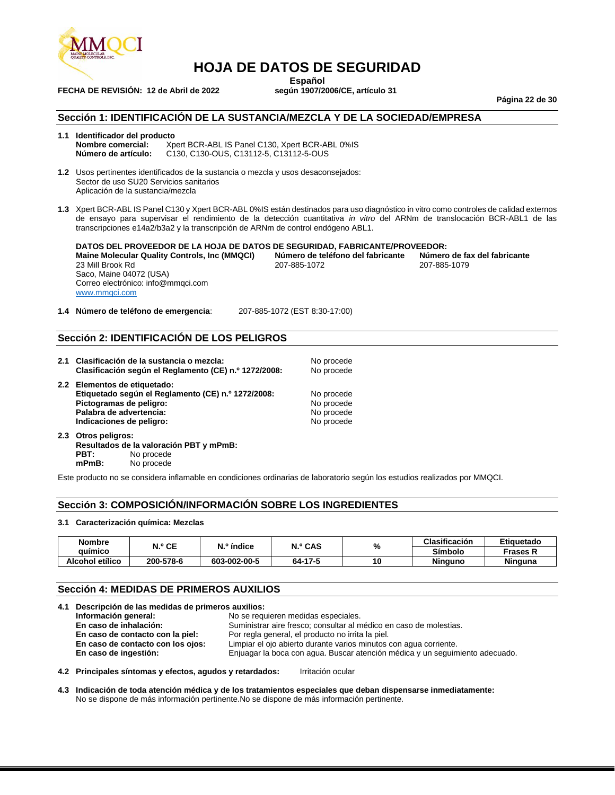

### **HOJA DE DATOS DE SEGURIDAD**

**Español**<br>**según 1907/2006/CE**, artículo 31

**Página 22 de 30**

#### **Sección 1: IDENTIFICACIÓN DE LA SUSTANCIA/MEZCLA Y DE LA SOCIEDAD/EMPRESA**

#### **1.1 Identificador del producto**

**FECHA DE REVISIÓN: 12 de Abril de 2022** 

**Nombre comercial:** <br>**Número de artículo:** C130. C130-OUS. C13112-5. C13112-5-OUS **Número de artículo:** C130, C130-OUS, C13112-5, C13112-5-OUS

- **1.2** Usos pertinentes identificados de la sustancia o mezcla y usos desaconsejados: Sector de uso SU20 Servicios sanitarios Aplicación de la sustancia/mezcla
- **1.3** Xpert BCR-ABL IS Panel C130 y Xpert BCR-ABL 0%IS están destinados para uso diagnóstico in vitro como controles de calidad externos de ensayo para supervisar el rendimiento de la detección cuantitativa *in vitro* del ARNm de translocación BCR-ABL1 de las transcripciones e14a2/b3a2 y la transcripción de ARNm de control endógeno ABL1.

**DATOS DEL PROVEEDOR DE LA HOJA DE DATOS DE SEGURIDAD, FABRICANTE/PROVEEDOR: Maine Molecular Quality Controls, Inc (MMQCI) Número de teléfono del fabricante Número de fa**<br>207-885-1079 207-885-1079 207-885-1079 23 Mill Brook Rd Saco, Maine 04072 (USA) Correo electrónico: info@mmqci.com [www.mmqci.com](http://www.mmqci.com/)

**1.4 Número de teléfono de emergencia**: 207-885-1072 (EST 8:30-17:00)

#### **Sección 2: IDENTIFICACIÓN DE LOS PELIGROS**

- **2.1 Clasificación de la sustancia o mezcla:** No procede **Clasificación según el Reglamento (CE) n.º 1272/2008:** No procede
- **2.2 Elementos de etiquetado: Etiquetado según el Reglamento (CE) n.º 1272/2008:** No procede **Pictogramas de peligro:** No procede en alguna en alguna en alguna en alguna en alguna en alguna en alguna en al<br> **Palabra de advertencia:** No procede Palabra de advertencia: **Indicaciones de peligro:** No procede and **No procede** and **No** procede
- **2.3 Otros peligros: Resultados de la valoración PBT y mPmB: PBT:** No procede<br> **mPmB:** No procede No procede

Este producto no se considera inflamable en condiciones ordinarias de laboratorio según los estudios realizados por MMQCI.

#### **Sección 3: COMPOSICIÓN/INFORMACIÓN SOBRE LOS INGREDIENTES**

#### **3.1 Caracterización química: Mezclas**

| Nombre          | N.º CE    | N.º índice   | N.º CAS | %  | Clasificación  | Etiquetado |
|-----------------|-----------|--------------|---------|----|----------------|------------|
| auimico         |           |              |         |    | Símbolo        | ⊤rases k   |
| Alcohol etílico | 200-578-6 | 603-002-00-5 | 64-17-5 | 10 | <b>Ninguno</b> | Ninguna    |

#### **Sección 4: MEDIDAS DE PRIMEROS AUXILIOS**

|  | 4.1 Descripción de las medidas de primeros auxilios: |                                                                              |  |  |
|--|------------------------------------------------------|------------------------------------------------------------------------------|--|--|
|  | Información general:                                 | No se requieren medidas especiales.                                          |  |  |
|  | En caso de inhalación:                               | Suministrar aire fresco; consultar al médico en caso de molestias.           |  |  |
|  | En caso de contacto con la piel:                     | Por regla general, el producto no irrita la piel.                            |  |  |
|  | En caso de contacto con los ojos:                    | Limpiar el ojo abierto durante varios minutos con aqua corriente.            |  |  |
|  | En caso de ingestión:                                | Enjuagar la boca con agua. Buscar atención médica y un seguimiento adecuado. |  |  |
|  |                                                      |                                                                              |  |  |

**4.2 Principales síntomas y efectos, agudos y retardados:** Irritación ocular

**4.3 Indicación de toda atención médica y de los tratamientos especiales que deban dispensarse inmediatamente:** No se dispone de más información pertinente.No se dispone de más información pertinente.

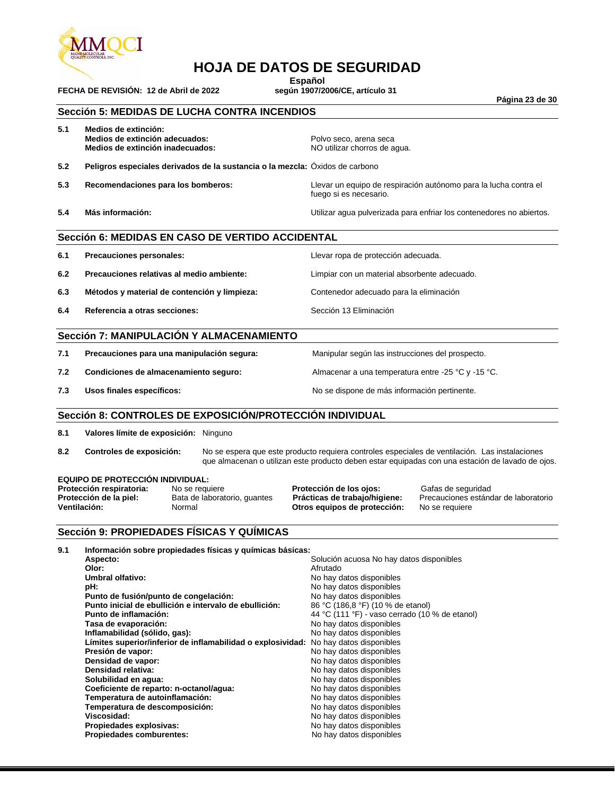

**FECHA DE REVISIÓN: 12 de Abril de 2022** 

### **HOJA DE DATOS DE SEGURIDAD**

**Español**<br>según 1907/2006/CE, artículo 31

**Página 23 de 30**

#### **Sección 5: MEDIDAS DE LUCHA CONTRA INCENDIOS**

| 5.1 | Medios de extinción:                                                         |                                                                                            |
|-----|------------------------------------------------------------------------------|--------------------------------------------------------------------------------------------|
|     | Medios de extinción adecuados:                                               | Polvo seco, arena seca                                                                     |
|     | Medios de extinción inadecuados:                                             | NO utilizar chorros de agua.                                                               |
| 5.2 | Peligros especiales derivados de la sustancia o la mezcla: Oxidos de carbono |                                                                                            |
| 5.3 | Recomendaciones para los bomberos:                                           | Llevar un equipo de respiración autónomo para la lucha contra el<br>fuego si es necesario. |
| 5.4 | Más información:                                                             | Utilizar agua pulverizada para enfriar los contenedores no abiertos.                       |
|     |                                                                              |                                                                                            |

#### **Sección 6: MEDIDAS EN CASO DE VERTIDO ACCIDENTAL**

| 6.1 | Precauciones personales:                     | Llevar ropa de protección adecuada.          |
|-----|----------------------------------------------|----------------------------------------------|
| 6.2 | Precauciones relativas al medio ambiente:    | Limpiar con un material absorbente adecuado. |
| 6.3 | Métodos y material de contención y limpieza: | Contenedor adecuado para la eliminación      |
| 6.4 | Referencia a otras secciones:                | Sección 13 Eliminación                       |

#### **Sección 7: MANIPULACIÓN Y ALMACENAMIENTO**

| 7.1 | Precauciones para una manipulación segura: |  |  |
|-----|--------------------------------------------|--|--|
|     |                                            |  |  |

**7.2 Condiciones de almacenamiento seguro:** Almacenar a una temperatura entre -25 °C y -15 °C.

**7.3 Usos finales específicos:** No se dispone de más información pertinente.

**7.1 Precauciones para una manipulación segura:** Manipular según las instrucciones del prospecto.

#### **Sección 8: CONTROLES DE EXPOSICIÓN/PROTECCIÓN INDIVIDUAL**

**8.1 Valores límite de exposición:** Ninguno

**EQUIPO DE PROTECCIÓN INDIVIDUAL:**

**8.2 Controles de exposición:** No se espera que este producto requiera controles especiales de ventilación. Las instalaciones que almacenan o utilizan este producto deben estar equipadas con una estación de lavado de ojos.

| <b>EQUIPO DE PROTECCION INDIVIDUAL:</b> |                              |                               |                                      |
|-----------------------------------------|------------------------------|-------------------------------|--------------------------------------|
| Protección respiratoria:                | No se requiere               | Protección de los ojos:       | Gafas de seguridad                   |
| Protección de la piel:                  | Bata de laboratorio, quantes | Prácticas de trabajo/higiene: | Precauciones estándar de laboratorio |
| Ventilación:                            | Normal                       | Otros equipos de protección:  | No se requiere                       |

#### **Sección 9: PROPIEDADES FÍSICAS Y QUÍMICAS**

| 9.1 | Información sobre propiedades físicas y químicas básicas:                            |                                                |  |  |  |
|-----|--------------------------------------------------------------------------------------|------------------------------------------------|--|--|--|
|     | Aspecto:                                                                             | Solución acuosa No hay datos disponibles       |  |  |  |
|     | Olor:                                                                                | Afrutado                                       |  |  |  |
|     | Umbral olfativo:                                                                     | No hay datos disponibles                       |  |  |  |
|     | pH:                                                                                  | No hay datos disponibles                       |  |  |  |
|     | Punto de fusión/punto de congelación:                                                | No hay datos disponibles                       |  |  |  |
|     | Punto inicial de ebullición e intervalo de ebullición:                               | 86 °C (186,8 °F) (10 % de etanol)              |  |  |  |
|     | Punto de inflamación:                                                                | 44 °C (111 °F) - vaso cerrado (10 % de etanol) |  |  |  |
|     | Tasa de evaporación:                                                                 | No hay datos disponibles                       |  |  |  |
|     | Inflamabilidad (sólido, gas):                                                        | No hay datos disponibles                       |  |  |  |
|     | Límites superior/inferior de inflamabilidad o explosividad: No hay datos disponibles |                                                |  |  |  |
|     | Presión de vapor:                                                                    | No hay datos disponibles                       |  |  |  |
|     | Densidad de vapor:                                                                   | No hay datos disponibles                       |  |  |  |
|     | Densidad relativa:                                                                   | No hay datos disponibles                       |  |  |  |
|     | Solubilidad en agua:                                                                 | No hay datos disponibles                       |  |  |  |
|     | Coeficiente de reparto: n-octanol/aqua:                                              | No hay datos disponibles                       |  |  |  |
|     | Temperatura de autoinflamación:                                                      | No hay datos disponibles                       |  |  |  |
|     | Temperatura de descomposición:                                                       | No hay datos disponibles                       |  |  |  |
|     | Viscosidad:                                                                          | No hay datos disponibles                       |  |  |  |
|     | Propiedades explosivas:                                                              | No hay datos disponibles                       |  |  |  |
|     | <b>Propiedades comburentes:</b>                                                      | No hay datos disponibles                       |  |  |  |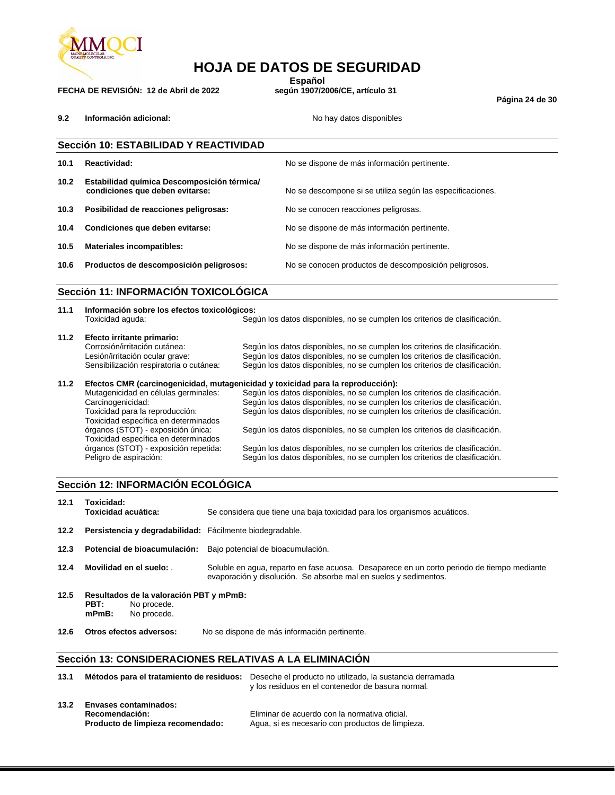

### **HOJA DE DATOS DE SEGURIDAD**

**Español**<br>según 1907/2006/CE, artículo 31

**Página 24 de 30**

|                   | Sección 10: ESTABILIDAD Y REACTIVIDAD                                          |                                                            |  |  |  |
|-------------------|--------------------------------------------------------------------------------|------------------------------------------------------------|--|--|--|
| 10.1              | Reactividad:                                                                   | No se dispone de más información pertinente.               |  |  |  |
| 10.2 <sub>1</sub> | Estabilidad química Descomposición térmica/<br>condiciones que deben evitarse: | No se descompone si se utiliza según las especificaciones. |  |  |  |
| 10.3              | Posibilidad de reacciones peligrosas:                                          | No se conocen reacciones peligrosas.                       |  |  |  |
| 10.4              | Condiciones que deben evitarse:                                                | No se dispone de más información pertinente.               |  |  |  |
| 10.5              | <b>Materiales incompatibles:</b>                                               | No se dispone de más información pertinente.               |  |  |  |
| 10.6              | Productos de descomposición peligrosos:                                        | No se conocen productos de descomposición peligrosos.      |  |  |  |

#### **Sección 11: INFORMACIÓN TOXICOLÓGICA**

| 11.1 | Información sobre los efectos toxicológicos:<br>Toxicidad aguda:                | Según los datos disponibles, no se cumplen los criterios de clasificación.                                                                               |  |  |  |
|------|---------------------------------------------------------------------------------|----------------------------------------------------------------------------------------------------------------------------------------------------------|--|--|--|
| 11.2 | Efecto irritante primario:                                                      |                                                                                                                                                          |  |  |  |
|      | Corrosión/irritación cutánea:                                                   | Según los datos disponibles, no se cumplen los criterios de clasificación.                                                                               |  |  |  |
|      | Lesión/irritación ocular grave:                                                 | Según los datos disponibles, no se cumplen los criterios de clasificación.                                                                               |  |  |  |
|      | Sensibilización respiratoria o cutánea:                                         | Según los datos disponibles, no se cumplen los criterios de clasificación.                                                                               |  |  |  |
| 11.2 | Efectos CMR (carcinogenicidad, mutagenicidad y toxicidad para la reproducción): |                                                                                                                                                          |  |  |  |
|      | Mutagenicidad en células germinales:                                            | Según los datos disponibles, no se cumplen los criterios de clasificación.                                                                               |  |  |  |
|      | Carcinogenicidad:                                                               | Según los datos disponibles, no se cumplen los criterios de clasificación.                                                                               |  |  |  |
|      | Toxicidad para la reproducción:<br>Toxicidad específica en determinados         | Según los datos disponibles, no se cumplen los criterios de clasificación.                                                                               |  |  |  |
|      | órganos (STOT) - exposición única:<br>Toxicidad específica en determinados      | Según los datos disponibles, no se cumplen los criterios de clasificación.                                                                               |  |  |  |
|      | órganos (STOT) - exposición repetida:<br>Peligro de aspiración:                 | Según los datos disponibles, no se cumplen los criterios de clasificación.<br>Según los datos disponibles, no se cumplen los criterios de clasificación. |  |  |  |

#### **Sección 12: INFORMACIÓN ECOLÓGICA**

| 12.1 | Toxicidad:<br>Toxicidad acuática:                                                         | Se considera que tiene una baja toxicidad para los organismos acuáticos.                                                                                       |
|------|-------------------------------------------------------------------------------------------|----------------------------------------------------------------------------------------------------------------------------------------------------------------|
| 12.2 | Persistencia y degradabilidad: Fácilmente biodegradable.                                  |                                                                                                                                                                |
| 12.3 | Potencial de bioacumulación:                                                              | Bajo potencial de bioacumulación.                                                                                                                              |
| 12.4 | Movilidad en el suelo:                                                                    | Soluble en agua, reparto en fase acuosa. Desaparece en un corto periodo de tiempo mediante<br>evaporación y disolución. Se absorbe mal en suelos y sedimentos. |
| 12.5 | Resultados de la valoración PBT y mPmB:<br>PBT:<br>No procede.<br>$mPmB$ :<br>No procede. |                                                                                                                                                                |

**12.6 Otros efectos adversos:** No se dispone de más información pertinente.

#### **Sección 13: CONSIDERACIONES RELATIVAS A LA ELIMINACIÓN**

| 13.1 |                                                                                     | Métodos para el tratamiento de residuos: Deseche el producto no utilizado, la sustancia derramada<br>y los residuos en el contenedor de basura normal. |
|------|-------------------------------------------------------------------------------------|--------------------------------------------------------------------------------------------------------------------------------------------------------|
| 13.2 | <b>Envases contaminados:</b><br>Recomendación:<br>Producto de limpieza recomendado: | Eliminar de acuerdo con la normativa oficial.<br>Agua, si es necesario con productos de limpieza.                                                      |

**9.2 Información adicional: No hay datos disponibles No hay datos disponibles** 

**FECHA DE REVISIÓN: 12 de Abril de 2022**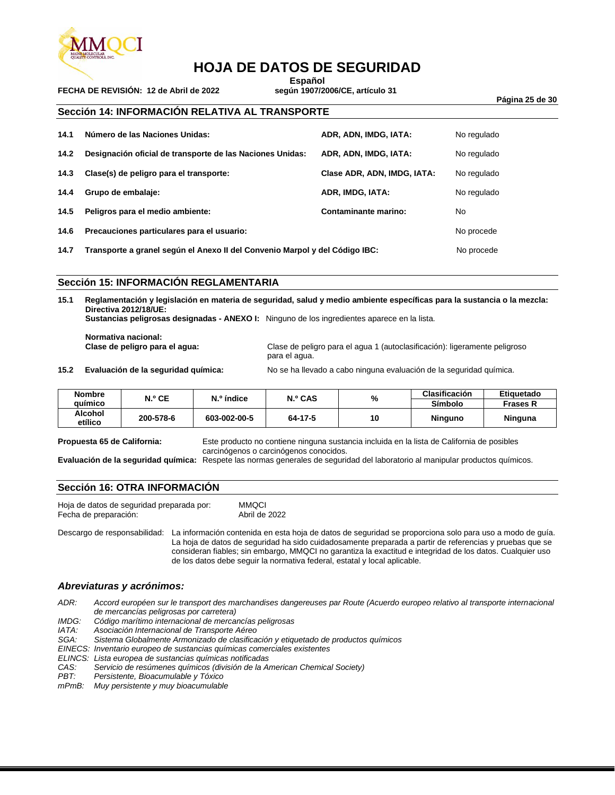

### **HOJA DE DATOS DE SEGURIDAD**

**FECHA DE REVISIÓN: 12 de Abril de 2022** 

**Español**<br>según 1907/2006/CE, artículo 31

**Página 25 de 30**

#### **Sección 14: INFORMACIÓN RELATIVA AL TRANSPORTE**

| 14.1 | Número de las Naciones Unidas:                                              | ADR, ADN, IMDG, IATA:       | No regulado |
|------|-----------------------------------------------------------------------------|-----------------------------|-------------|
| 14.2 | Designación oficial de transporte de las Naciones Unidas:                   | ADR, ADN, IMDG, IATA:       | No regulado |
| 14.3 | Clase(s) de peligro para el transporte:                                     | Clase ADR, ADN, IMDG, IATA: | No regulado |
| 14.4 | Grupo de embalaje:                                                          | ADR, IMDG, IATA:            | No regulado |
| 14.5 | Peligros para el medio ambiente:                                            | Contaminante marino:        | No          |
| 14.6 | Precauciones particulares para el usuario:                                  |                             | No procede  |
| 14.7 | Transporte a granel según el Anexo II del Convenio Marpol y del Código IBC: | No procede                  |             |

#### **Sección 15: INFORMACIÓN REGLAMENTARIA**

**15.1 Reglamentación y legislación en materia de seguridad, salud y medio ambiente específicas para la sustancia o la mezcla: Directiva 2012/18/UE:**

**Sustancias peligrosas designadas - ANEXO I:** Ninguno de los ingredientes aparece en la lista.

**Normativa nacional:**

**Clase de peligro para el agua:** Clase de peligro para el agua 1 (autoclasificación): ligeramente peligroso para el agua.

**15.2 Evaluación de la seguridad química:** No se ha llevado a cabo ninguna evaluación de la seguridad química.

| <b>Nombre</b>      | N.º CE    | N.º índice   | N.º CAS |    | Clasificación  | Etiquetado      |
|--------------------|-----------|--------------|---------|----|----------------|-----------------|
| auímico            |           |              |         | %  | Símbolo        | <b>Frases R</b> |
| Alcohol<br>etílico | 200-578-6 | 603-002-00-5 | 64-17-5 | 10 | <b>Ninguno</b> | Ninguna         |

**Propuesta 65 de California:** Este producto no contiene ninguna sustancia incluida en la lista de California de posibles carcinógenos o carcinógenos conocidos.

**Evaluación de la seguridad química:** Respete las normas generales de seguridad del laboratorio al manipular productos químicos.

#### **Sección 16: OTRA INFORMACIÓN**

Hoja de datos de seguridad preparada por: MMQCI Fecha de preparación:

Descargo de responsabilidad: La información contenida en esta hoja de datos de seguridad se proporciona solo para uso a modo de guía. La hoja de datos de seguridad ha sido cuidadosamente preparada a partir de referencias y pruebas que se consideran fiables; sin embargo, MMQCI no garantiza la exactitud e integridad de los datos. Cualquier uso de los datos debe seguir la normativa federal, estatal y local aplicable.

#### *Abreviaturas y acrónimos:*

*ADR: Accord européen sur le transport des marchandises dangereuses par Route (Acuerdo europeo relativo al transporte internacional de mercancías peligrosas por carretera)*

*IMDG: Código marítimo internacional de mercancías peligrosas*

*IATA: Asociación Internacional de Transporte Aéreo*

Sistema Globalmente Armonizado de clasificación y etiquetado de productos químicos

*EINECS: Inventario europeo de sustancias químicas comerciales existentes*

*ELINCS: Lista europea de sustancias químicas notificadas*

*CAS: Servicio de resúmenes químicos (división de la American Chemical Society)*

*PBT: Persistente, Bioacumulable y Tóxico*

*mPmB: Muy persistente y muy bioacumulable*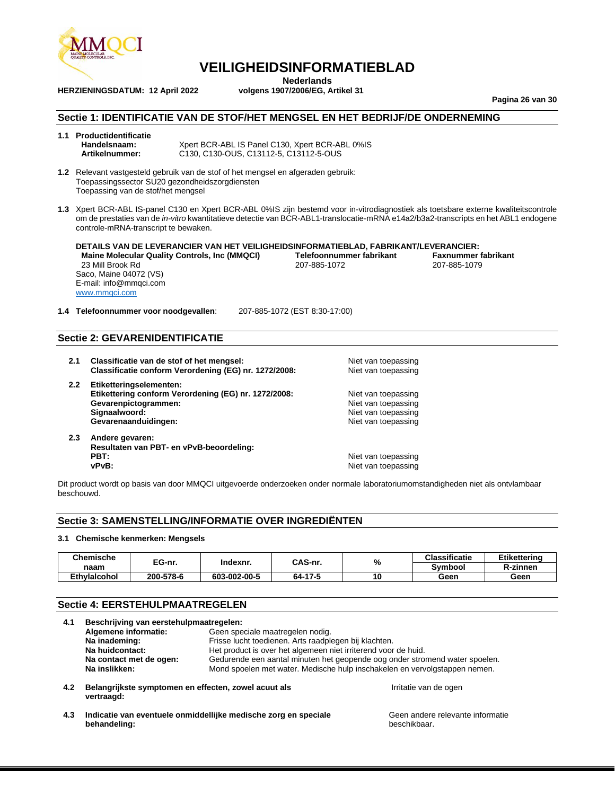

**Nederlands**<br>volgens 1907/2006/EG, Artikel 31

**Pagina 26 van 30**

#### **Sectie 1: IDENTIFICATIE VAN DE STOF/HET MENGSEL EN HET BEDRIJF/DE ONDERNEMING**

# **1.1 Productidentificatie**

**HERZIENINGSDATUM: 12 April 2022** 

**Handelsnaam:** Xpert BCR-ABL IS Panel C130, Xpert BCR-ABL 0%IS **Artikelnummer:** C130, C130-OUS, C13112-5, C13112-5-OUS

**1.2** Relevant vastgesteld gebruik van de stof of het mengsel en afgeraden gebruik: Toepassingssector SU20 gezondheidszorgdiensten Toepassing van de stof/het mengsel

**1.3** Xpert BCR-ABL IS-panel C130 en Xpert BCR-ABL 0%IS zijn bestemd voor in-vitrodiagnostiek als toetsbare externe kwaliteitscontrole om de prestaties van de *in-vitro* kwantitatieve detectie van BCR-ABL1-translocatie-mRNA e14a2/b3a2-transcripts en het ABL1 endogene controle-mRNA-transcript te bewaken.

**DETAILS VAN DE LEVERANCIER VAN HET VEILIGHEIDSINFORMATIEBLAD, FABRIKANT/LEVERANCIER: Maine Molecular Quality Controls, Inc (MMQCI) <br>207-885-1072 <b>Properties 10the COLOGY** 207-885-1079 **Properties 207-885-1079** 207-885-1079 23 Mill Brook Rd Saco, Maine 04072 (VS) E-mail: info@mmqci.com [www.mmqci.com](http://www.mmqci.com/)

**1.4 Telefoonnummer voor noodgevallen**: 207-885-1072 (EST 8:30-17:00)

#### **Sectie 2: GEVARENIDENTIFICATIE**

- **2.1 Classificatie van de stof of het mengsel:** Niet van toepassing **Classificatie conform Verordening (EG) nr. 1272/2008:** Niet van toepassing
- **2.2 Etiketteringselementen:** Etikettering conform Verordening (EG) nr. 1272/2008: Niet van toepassing **Gevarenpictogrammen:** Niet van toepassing<br> **Signaalwoord:** Niet van toepassing<br>
Niet van toepassing **Gevarenaanduidingen:** Niet van toepassing
- **2.3 Andere gevaren: Resultaten van PBT- en vPvB-beoordeling: vPvB:**  $\blacksquare$

**Niet van toepassing** 

**Niet van toepassing** 

beschikbaar.

Dit product wordt op basis van door MMQCI uitgevoerde onderzoeken onder normale laboratoriumomstandigheden niet als ontvlambaar beschouwd.

#### **Sectie 3: SAMENSTELLING/INFORMATIE OVER INGREDIËNTEN**

#### **3.1 Chemische kenmerken: Mengsels**

**behandeling:**

| Chemische<br>naam   | EG-nr.    | Indexnr.     | CAS-nr. | % | <b>Classificatie</b> | Etikettering    |
|---------------------|-----------|--------------|---------|---|----------------------|-----------------|
|                     |           |              |         |   | Symbool              | <b>R-zinnen</b> |
| <b>Ethvlaicohol</b> | 200-578-6 | 603-002-00-5 | 64-17-5 |   | Geen                 | Geen            |

#### **Sectie 4: EERSTEHULPMAATREGELEN**

| Beschrijving van eerstehulpmaatregelen:<br>4.1 |                                                                    |                                                                                                                         |                                  |  |
|------------------------------------------------|--------------------------------------------------------------------|-------------------------------------------------------------------------------------------------------------------------|----------------------------------|--|
|                                                | Algemene informatie:                                               | Geen speciale maatregelen nodig.                                                                                        |                                  |  |
|                                                | Na inademing:                                                      | Frisse lucht toedienen. Arts raadplegen bij klachten.<br>Het product is over het algemeen niet irriterend voor de huid. |                                  |  |
|                                                | Na huidcontact:                                                    |                                                                                                                         |                                  |  |
|                                                | Na contact met de ogen:                                            | Gedurende een aantal minuten het geopende oog onder stromend water spoelen.                                             |                                  |  |
|                                                | Na inslikken:                                                      | Mond spoelen met water. Medische hulp inschakelen en vervolgstappen nemen.                                              |                                  |  |
| 4.2                                            | Belangrijkste symptomen en effecten, zowel acuut als<br>vertraagd: |                                                                                                                         | Irritatie van de ogen            |  |
| 4.3                                            |                                                                    | Indicatie van eventuele onmiddellijke medische zorg en speciale                                                         | Geen andere relevante informatie |  |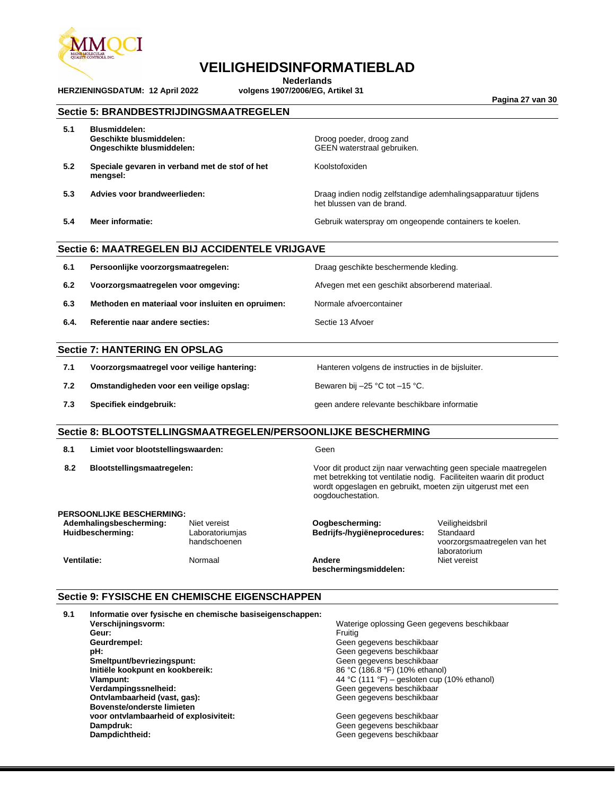

**HERZIENINGSDATUM: 12 April 2022** 

### **VEILIGHEIDSINFORMATIEBLAD**

**Nederlands**<br>volgens 1907/2006/EG, Artikel 31

**Pagina 27 van 30**

|      |                                                                                                                      | Sectie 5: BRANDBESTRIJDINGSMAATREGELEN                    |                                                                                                                                                                                                                              |                                                                              |  |
|------|----------------------------------------------------------------------------------------------------------------------|-----------------------------------------------------------|------------------------------------------------------------------------------------------------------------------------------------------------------------------------------------------------------------------------------|------------------------------------------------------------------------------|--|
| 5.1  | <b>Blusmiddelen:</b><br>Geschikte blusmiddelen:<br>Ongeschikte blusmiddelen:                                         |                                                           | Droog poeder, droog zand<br>GEEN waterstraal gebruiken.                                                                                                                                                                      |                                                                              |  |
| 5.2  | Speciale gevaren in verband met de stof of het<br>mengsel:                                                           |                                                           | Koolstofoxiden                                                                                                                                                                                                               |                                                                              |  |
| 5.3  | Advies voor brandweerlieden:                                                                                         |                                                           | Draag indien nodig zelfstandige ademhalingsapparatuur tijdens<br>het blussen van de brand.                                                                                                                                   |                                                                              |  |
| 5.4  | <b>Meer informatie:</b>                                                                                              |                                                           | Gebruik waterspray om ongeopende containers te koelen.                                                                                                                                                                       |                                                                              |  |
|      |                                                                                                                      | Sectie 6: MAATREGELEN BIJ ACCIDENTELE VRIJGAVE            |                                                                                                                                                                                                                              |                                                                              |  |
| 6.1  | Persoonlijke voorzorgsmaatregelen:                                                                                   |                                                           | Draag geschikte beschermende kleding.                                                                                                                                                                                        |                                                                              |  |
| 6.2  | Voorzorgsmaatregelen voor omgeving:                                                                                  |                                                           | Afvegen met een geschikt absorberend materiaal.                                                                                                                                                                              |                                                                              |  |
| 6.3  |                                                                                                                      | Methoden en materiaal voor insluiten en opruimen:         | Normale afvoercontainer                                                                                                                                                                                                      |                                                                              |  |
| 6.4. | Referentie naar andere secties:                                                                                      |                                                           | Sectie 13 Afvoer                                                                                                                                                                                                             |                                                                              |  |
|      | <b>Sectie 7: HANTERING EN OPSLAG</b>                                                                                 |                                                           |                                                                                                                                                                                                                              |                                                                              |  |
| 7.1  | Voorzorgsmaatregel voor veilige hantering:                                                                           |                                                           | Hanteren volgens de instructies in de bijsluiter.                                                                                                                                                                            |                                                                              |  |
| 7.2  | Omstandigheden voor een veilige opslag:                                                                              |                                                           | Bewaren bij -25 °C tot -15 °C.                                                                                                                                                                                               |                                                                              |  |
| 7.3  | Specifiek eindgebruik:                                                                                               |                                                           | geen andere relevante beschikbare informatie                                                                                                                                                                                 |                                                                              |  |
|      |                                                                                                                      |                                                           | Sectie 8: BLOOTSTELLINGSMAATREGELEN/PERSOONLIJKE BESCHERMING                                                                                                                                                                 |                                                                              |  |
| 8.1  | Limiet voor blootstellingswaarden:                                                                                   |                                                           | Geen                                                                                                                                                                                                                         |                                                                              |  |
| 8.2  | Blootstellingsmaatregelen:                                                                                           |                                                           | Voor dit product zijn naar verwachting geen speciale maatregelen<br>met betrekking tot ventilatie nodig. Faciliteiten waarin dit product<br>wordt opgeslagen en gebruikt, moeten zijn uitgerust met een<br>oogdouchestation. |                                                                              |  |
|      | <b>PERSOONLIJKE BESCHERMING:</b><br>Ademhalingsbescherming:<br>Huidbescherming:                                      | Niet vereist<br>Laboratoriumjas<br>handschoenen           | Oogbescherming:<br>Bedrijfs-/hygiëneprocedures:                                                                                                                                                                              | Veiligheidsbril<br>Standaard<br>voorzorgsmaatregelen van het<br>laboratorium |  |
|      | <b>Ventilatie:</b>                                                                                                   | Normaal                                                   | Andere<br>beschermingsmiddelen:                                                                                                                                                                                              | Niet vereist                                                                 |  |
|      |                                                                                                                      | Sectie 9: FYSISCHE EN CHEMISCHE EIGENSCHAPPEN             |                                                                                                                                                                                                                              |                                                                              |  |
| 9.1  | Verschijningsvorm:<br>Geur:<br>Geurdrempel:<br>pH:<br>Smeltpunt/bevriezingspunt:<br>Initiële kookpunt en kookbereik: | Informatie over fysische en chemische basiseigenschappen: | Waterige oplossing Geen gegevens beschikbaar<br>Fruitig<br>Geen gegevens beschikbaar<br>Geen gegevens beschikbaar<br>Geen gegevens beschikbaar<br>86 °C (186.8 °F) (10% ethanol)                                             |                                                                              |  |

**Vlampunt:** 44 °C (111 °F) – gesloten cup (10% ethanol) **Verdampingssnelheid:** Geen gegevens beschikbaar **Ontvlambaarheid (vast, gas):** Geen gegevens beschikbaar **Bovenste/onderste limieten**  voor ontvlambaarheid of explosiviteit:<br>Dampdruk: **Dampdruk:** Construction of explosiviteit:<br>
Dampdruk: Geen gegevens beschikbaar<br>
Dampdruk: Geen gegevens beschikbaar<br>
Dampdichtheid: Geen gegevens beschikbaar

**Dampdichtheid:** Geen gegevens beschikbaar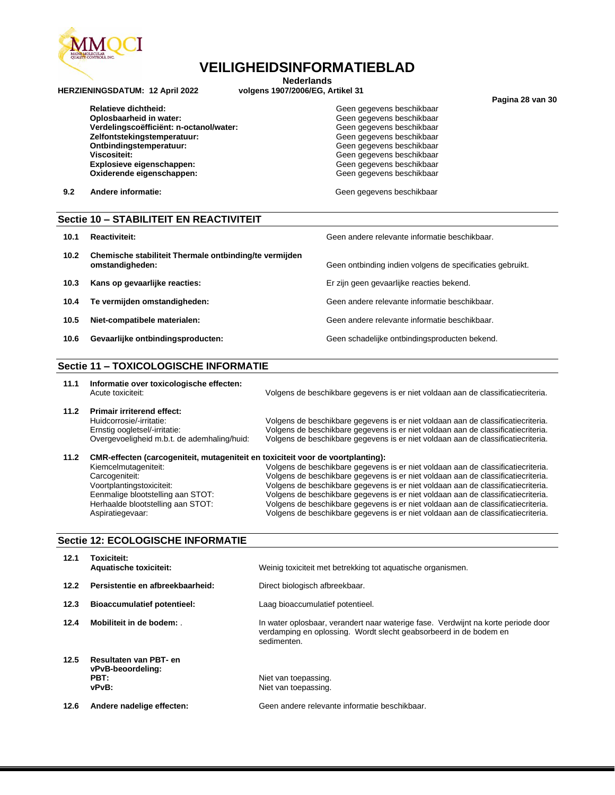

**Nederlands**<br>volgens 1907/2006/EG, Artikel 31

**HERZIENINGSDATUM: 12 April 2022** 

**Oplosbaarheid in water:** Geen gegevens beschikbaar **Verdelingscoëfficiënt: n-octanol/water:** Geen gegevens beschikbaar Zelfontstekingstemperatuur:<br>Ontbindingstemperatuur: **Viscositeit:** Geen gegevens beschikbaar **Explosieve eigenschappen:** Geen gegevens beschikbaar Oxiderende eigenschappen:

Relatieve dichtheid: **Geen gegevens beschikbaar** Geen gegevens beschikbaar

**9.2 Andere informatie:** Christian Material Community Community Geen gegevens beschikbaar

#### **Sectie 10 – STABILITEIT EN REACTIVITEIT**

- **10.1 Reactiviteit:** Geen andere relevante informatie beschikbaar.
- **10.2 Chemische stabiliteit Thermale ontbinding/te vermijden**
- **10.3 Kans op gevaarlijke reacties:** Er zijn geen gevaarlijke reacties bekend.
- **10.4 Te vermijden omstandigheden:** Geen andere relevante informatie beschikbaar.
- **10.5 Niet-compatibele materialen:** Geen andere relevante informatie beschikbaar.
- 10.6 **Gevaarlijke ontbindingsproducten:** Geen schadelijke ontbindingsproducten bekend.

#### **Sectie 11 – TOXICOLOGISCHE INFORMATIE**

- **11.1 Informatie over toxicologische effecten:**
- **11.2 Primair irriterend effect:**

Volgens de beschikbare gegevens is er niet voldaan aan de classificatiecriteria.

Geen ontbinding indien volgens de specificaties gebruikt.

Huidcorrosie/-irritatie: Volgens de beschikbare gegevens is er niet voldaan aan de classificatiecriteria.<br>Ernstig oogletsel/-irritatie: Volgens de beschikbare gegevens is er niet voldaan aan de classificatiecriteria. Volgens de beschikbare gegevens is er niet voldaan aan de classificatiecriteria. Overgevoeligheid m.b.t. de ademhaling/huid: Volgens de beschikbare gegevens is er niet voldaan aan de classificatiecriteria.

| 11.2 | CMR-effecten (carcogeniteit, mutageniteit en toxiciteit voor de voortplanting): |                                                                                  |  |  |
|------|---------------------------------------------------------------------------------|----------------------------------------------------------------------------------|--|--|
|      | Kiemcelmutageniteit:                                                            | Volgens de beschikbare gegevens is er niet voldaan aan de classificatiecriteria. |  |  |
|      | Carcogeniteit:                                                                  | Volgens de beschikbare gegevens is er niet voldaan aan de classificatiecriteria. |  |  |
|      | Voortplantingstoxiciteit:                                                       | Volgens de beschikbare gegevens is er niet voldaan aan de classificatiecriteria. |  |  |
|      | Eenmalige blootstelling aan STOT:                                               | Volgens de beschikbare gegevens is er niet voldaan aan de classificatiecriteria. |  |  |
|      | Herhaalde blootstelling aan STOT:                                               | Volgens de beschikbare gegevens is er niet voldaan aan de classificatiecriteria. |  |  |

#### **Sectie 12: ECOLOGISCHE INFORMATIE**

| 12.1 | Toxiciteit:<br><b>Aquatische toxiciteit:</b>                 | Weinig toxiciteit met betrekking tot aquatische organismen.                                                                                                           |
|------|--------------------------------------------------------------|-----------------------------------------------------------------------------------------------------------------------------------------------------------------------|
| 12.2 | Persistentie en afbreekbaarheid:                             | Direct biologisch afbreekbaar.                                                                                                                                        |
| 12.3 | <b>Bioaccumulatief potentieel:</b>                           | Laag bioaccumulatief potentieel.                                                                                                                                      |
| 12.4 | Mobiliteit in de bodem:                                      | In water oplosbaar, verandert naar waterige fase. Verdwijnt na korte periode door<br>verdamping en oplossing. Wordt slecht geabsorbeerd in de bodem en<br>sedimenten. |
| 12.5 | Resultaten van PBT- en<br>vPvB-beoordeling:<br>PBT:<br>vPvB: | Niet van toepassing.<br>Niet van toepassing.                                                                                                                          |
| 12.6 | Andere nadelige effecten:                                    | Geen andere relevante informatie beschikbaar.                                                                                                                         |

Aspiratiegevaar: Volgens de beschikbare gegevens is er niet voldaan aan de classificatiecriteria.

**Pagina 28 van 30**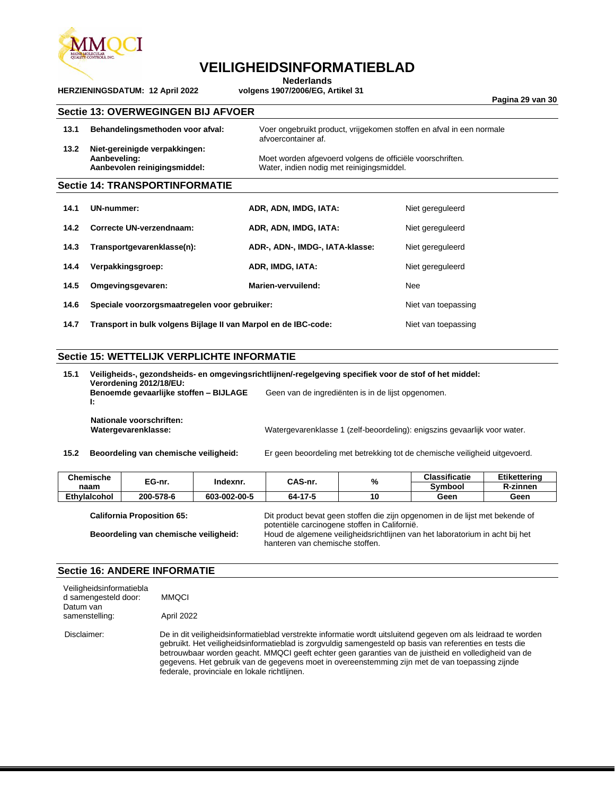

**Nederlands**<br>volgens 1907/2006/EG, Artikel 31

**Pagina 29 van 30**

#### **Sectie 13: OVERWEGINGEN BIJ AFVOER**

**HERZIENINGSDATUM: 12 April 2022** 

|      | <b>Sectie 14: TRANSPORTINFORMATIE</b>                                         |                                                                                                        |
|------|-------------------------------------------------------------------------------|--------------------------------------------------------------------------------------------------------|
| 13.2 | Niet-gereinigde verpakkingen:<br>Aanbeveling:<br>Aanbevolen reinigingsmiddel: | Moet worden afgevoerd volgens de officiële voorschriften.<br>Water, indien nodig met reinigingsmiddel. |
| 13.1 | Behandelingsmethoden voor afval:                                              | Voer ongebruikt product, vrijgekomen stoffen en afval in een normale<br>afvoercontainer af.            |
|      |                                                                               |                                                                                                        |

| 14.1 | UN-nummer:                                                      | ADR, ADN, IMDG, IATA:           | Niet gereguleerd    |
|------|-----------------------------------------------------------------|---------------------------------|---------------------|
| 14.2 | Correcte UN-verzendnaam:                                        | ADR, ADN, IMDG, IATA:           | Niet gereguleerd    |
| 14.3 | Transportgevarenklasse(n):                                      | ADR-, ADN-, IMDG-, IATA-klasse: | Niet gereguleerd    |
| 14.4 | Verpakkingsgroep:                                               | ADR, IMDG, IATA:                | Niet gereguleerd    |
| 14.5 | Omgevingsgevaren:                                               | Marien-vervuilend:              | Nee                 |
| 14.6 | Speciale voorzorgsmaatregelen voor gebruiker:                   |                                 | Niet van toepassing |
| 14.7 | Transport in bulk volgens Bijlage II van Marpol en de IBC-code: |                                 | Niet van toepassing |

#### **Sectie 15: WETTELIJK VERPLICHTE INFORMATIE**

| 15.1 | Veiligheids-, gezondsheids- en omgevingsrichtlijnen/-regelgeving specifiek voor de stof of het middel:<br>Verordening 2012/18/EU:<br>Benoemde gevaarlijke stoffen - BIJLAGE<br>Geen van de ingrediënten is in de lijst opgenomen. |                                                                            |  |
|------|-----------------------------------------------------------------------------------------------------------------------------------------------------------------------------------------------------------------------------------|----------------------------------------------------------------------------|--|
|      | Ŀ.<br>Nationale voorschriften:<br>Watergevarenklasse:                                                                                                                                                                             | Watergevarenklasse 1 (zelf-beoordeling): enigszins gevaarlijk voor water.  |  |
| 15.2 | Beoordeling van chemische veiligheid:                                                                                                                                                                                             | Er geen beoordeling met betrekking tot de chemische veiligheid uitgevoerd. |  |

| 15.2 |  | Beoordeling van chemische veiligheid: | Er gee |
|------|--|---------------------------------------|--------|
|------|--|---------------------------------------|--------|

| <b>Chemische</b>    | EG-nr.<br>naam | Indexnr.     | CAS-nr. | %   | <b>Classificatie</b> | <b>Etikettering</b> |
|---------------------|----------------|--------------|---------|-----|----------------------|---------------------|
|                     |                |              |         |     | Symbool              | <b>R-zinnen</b>     |
| <b>Ethvlaicohol</b> | 200-578-6      | 603-002-00-5 | 64-17-5 | 1 O | Geen                 | Geen                |

|  | <b>California Proposition 65:</b> |
|--|-----------------------------------|
|--|-----------------------------------|

Dit product bevat geen stoffen die zijn opgenomen in de lijst met bekende of potentiële carcinogene stoffen in Californië. **Beoordeling van chemische veiligheid:** Houd de algemene veiligheidsrichtlijnen van het laboratorium in acht bij het hanteren van chemische stoffen.

#### **Sectie 16: ANDERE INFORMATIE**

| Veiligheidsinformatiebla<br>d samengesteld door:<br>Datum van<br>samenstelling: | <b>MMOCI</b><br>April 2022                                                                                                                                                                                                                                                                                                                                                                                                                                                           |
|---------------------------------------------------------------------------------|--------------------------------------------------------------------------------------------------------------------------------------------------------------------------------------------------------------------------------------------------------------------------------------------------------------------------------------------------------------------------------------------------------------------------------------------------------------------------------------|
| Disclaimer:                                                                     | De in dit veiligheidsinformatieblad verstrekte informatie wordt uitsluitend gegeven om als leidraad te worden<br>gebruikt. Het veiligheidsinformatieblad is zorgvuldig samengesteld op basis van referenties en tests die<br>betrouwbaar worden geacht. MMQCI geeft echter geen garanties van de juistheid en volledigheid van de<br>gegevens. Het gebruik van de gegevens moet in overeenstemming zijn met de van toepassing zijnde<br>federale, provinciale en lokale richtlijnen. |